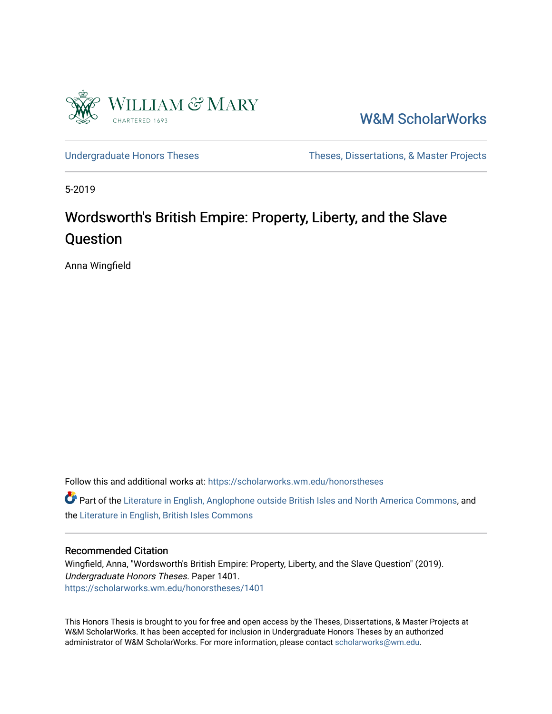

[W&M ScholarWorks](https://scholarworks.wm.edu/) 

[Undergraduate Honors Theses](https://scholarworks.wm.edu/honorstheses) Theses Theses, Dissertations, & Master Projects

5-2019

# Wordsworth's British Empire: Property, Liberty, and the Slave Question

Anna Wingfield

Follow this and additional works at: [https://scholarworks.wm.edu/honorstheses](https://scholarworks.wm.edu/honorstheses?utm_source=scholarworks.wm.edu%2Fhonorstheses%2F1401&utm_medium=PDF&utm_campaign=PDFCoverPages) 

Part of the [Literature in English, Anglophone outside British Isles and North America Commons](http://network.bepress.com/hgg/discipline/457?utm_source=scholarworks.wm.edu%2Fhonorstheses%2F1401&utm_medium=PDF&utm_campaign=PDFCoverPages), and the [Literature in English, British Isles Commons](http://network.bepress.com/hgg/discipline/456?utm_source=scholarworks.wm.edu%2Fhonorstheses%2F1401&utm_medium=PDF&utm_campaign=PDFCoverPages) 

#### Recommended Citation

Wingfield, Anna, "Wordsworth's British Empire: Property, Liberty, and the Slave Question" (2019). Undergraduate Honors Theses. Paper 1401. [https://scholarworks.wm.edu/honorstheses/1401](https://scholarworks.wm.edu/honorstheses/1401?utm_source=scholarworks.wm.edu%2Fhonorstheses%2F1401&utm_medium=PDF&utm_campaign=PDFCoverPages)

This Honors Thesis is brought to you for free and open access by the Theses, Dissertations, & Master Projects at W&M ScholarWorks. It has been accepted for inclusion in Undergraduate Honors Theses by an authorized administrator of W&M ScholarWorks. For more information, please contact [scholarworks@wm.edu.](mailto:scholarworks@wm.edu)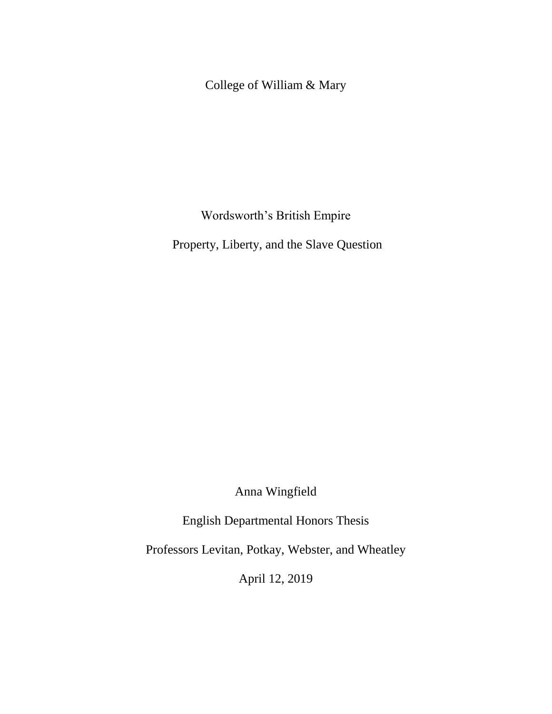College of William & Mary

Wordsworth's British Empire

Property, Liberty, and the Slave Question

Anna Wingfield

English Departmental Honors Thesis

Professors Levitan, Potkay, Webster, and Wheatley

April 12, 2019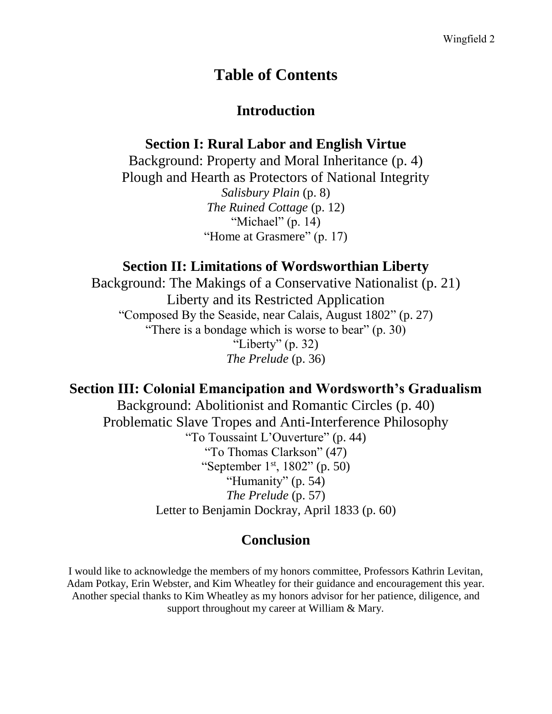## **Table of Contents**

## **Introduction**

## **Section I: Rural Labor and English Virtue**

Background: Property and Moral Inheritance (p. 4) Plough and Hearth as Protectors of National Integrity *Salisbury Plain* (p. 8) *The Ruined Cottage* (p. 12) "Michael" (p. 14) "Home at Grasmere" (p. 17)

## **Section II: Limitations of Wordsworthian Liberty**

Background: The Makings of a Conservative Nationalist (p. 21) Liberty and its Restricted Application "Composed By the Seaside, near Calais, August 1802" (p. 27) "There is a bondage which is worse to bear" (p. 30) "Liberty"  $(p. 32)$ *The Prelude* (p. 36)

## **Section III: Colonial Emancipation and Wordsworth's Gradualism**

Background: Abolitionist and Romantic Circles (p. 40) Problematic Slave Tropes and Anti-Interference Philosophy "To Toussaint L'Ouverture" (p. 44) "To Thomas Clarkson" (47) "September 1 $\rm{^{st}}$ , 1802" (p. 50) "Humanity" (p. 54) *The Prelude* (p. 57) Letter to Benjamin Dockray, April 1833 (p. 60)

## **Conclusion**

I would like to acknowledge the members of my honors committee, Professors Kathrin Levitan, Adam Potkay, Erin Webster, and Kim Wheatley for their guidance and encouragement this year. Another special thanks to Kim Wheatley as my honors advisor for her patience, diligence, and support throughout my career at William & Mary.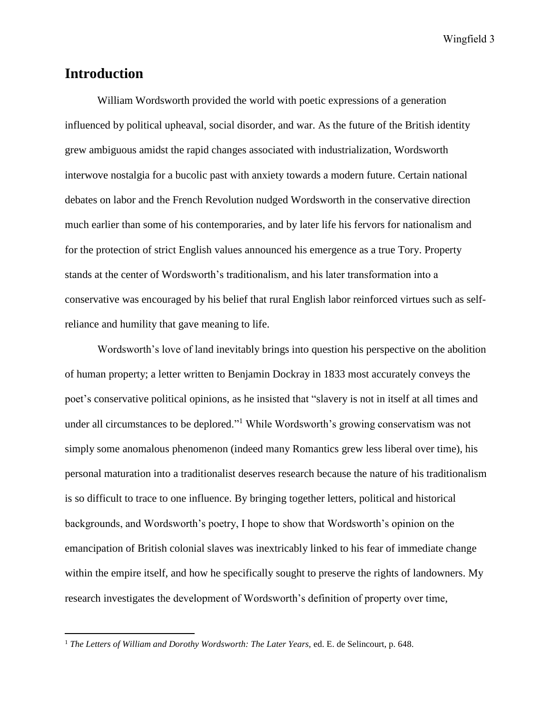## **Introduction**

 $\overline{a}$ 

William Wordsworth provided the world with poetic expressions of a generation influenced by political upheaval, social disorder, and war. As the future of the British identity grew ambiguous amidst the rapid changes associated with industrialization, Wordsworth interwove nostalgia for a bucolic past with anxiety towards a modern future. Certain national debates on labor and the French Revolution nudged Wordsworth in the conservative direction much earlier than some of his contemporaries, and by later life his fervors for nationalism and for the protection of strict English values announced his emergence as a true Tory. Property stands at the center of Wordsworth's traditionalism, and his later transformation into a conservative was encouraged by his belief that rural English labor reinforced virtues such as selfreliance and humility that gave meaning to life.

Wordsworth's love of land inevitably brings into question his perspective on the abolition of human property; a letter written to Benjamin Dockray in 1833 most accurately conveys the poet's conservative political opinions, as he insisted that "slavery is not in itself at all times and under all circumstances to be deplored."<sup>1</sup> While Wordsworth's growing conservatism was not simply some anomalous phenomenon (indeed many Romantics grew less liberal over time), his personal maturation into a traditionalist deserves research because the nature of his traditionalism is so difficult to trace to one influence. By bringing together letters, political and historical backgrounds, and Wordsworth's poetry, I hope to show that Wordsworth's opinion on the emancipation of British colonial slaves was inextricably linked to his fear of immediate change within the empire itself, and how he specifically sought to preserve the rights of landowners. My research investigates the development of Wordsworth's definition of property over time,

<sup>&</sup>lt;sup>1</sup> The Letters of William and Dorothy Wordsworth: The Later Years, ed. E. de Selincourt, p. 648.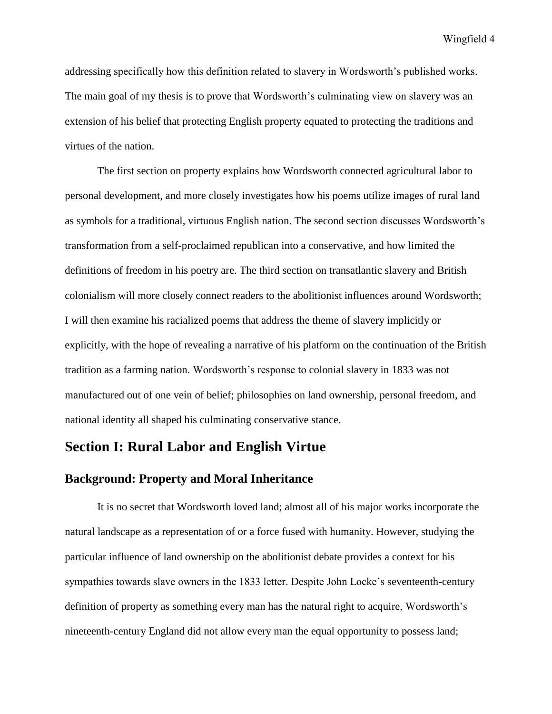addressing specifically how this definition related to slavery in Wordsworth's published works. The main goal of my thesis is to prove that Wordsworth's culminating view on slavery was an extension of his belief that protecting English property equated to protecting the traditions and virtues of the nation.

The first section on property explains how Wordsworth connected agricultural labor to personal development, and more closely investigates how his poems utilize images of rural land as symbols for a traditional, virtuous English nation. The second section discusses Wordsworth's transformation from a self-proclaimed republican into a conservative, and how limited the definitions of freedom in his poetry are. The third section on transatlantic slavery and British colonialism will more closely connect readers to the abolitionist influences around Wordsworth; I will then examine his racialized poems that address the theme of slavery implicitly or explicitly, with the hope of revealing a narrative of his platform on the continuation of the British tradition as a farming nation. Wordsworth's response to colonial slavery in 1833 was not manufactured out of one vein of belief; philosophies on land ownership, personal freedom, and national identity all shaped his culminating conservative stance.

## **Section I: Rural Labor and English Virtue**

## **Background: Property and Moral Inheritance**

It is no secret that Wordsworth loved land; almost all of his major works incorporate the natural landscape as a representation of or a force fused with humanity. However, studying the particular influence of land ownership on the abolitionist debate provides a context for his sympathies towards slave owners in the 1833 letter. Despite John Locke's seventeenth-century definition of property as something every man has the natural right to acquire, Wordsworth's nineteenth-century England did not allow every man the equal opportunity to possess land;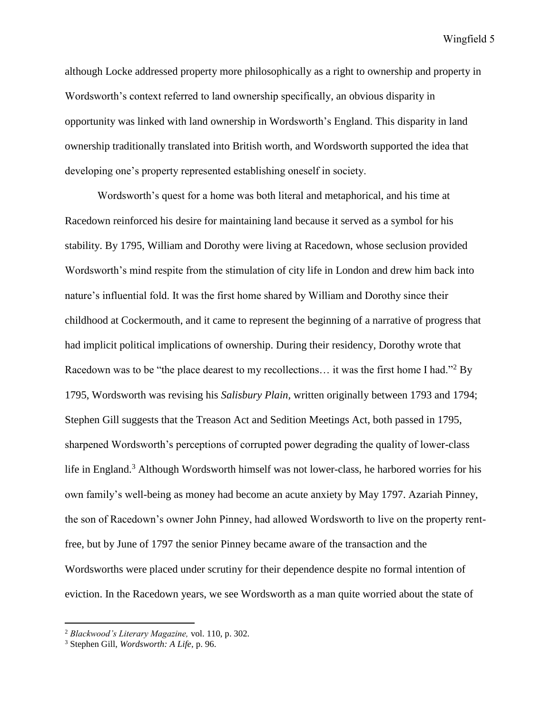although Locke addressed property more philosophically as a right to ownership and property in Wordsworth's context referred to land ownership specifically, an obvious disparity in opportunity was linked with land ownership in Wordsworth's England. This disparity in land ownership traditionally translated into British worth, and Wordsworth supported the idea that developing one's property represented establishing oneself in society.

Wordsworth's quest for a home was both literal and metaphorical, and his time at Racedown reinforced his desire for maintaining land because it served as a symbol for his stability. By 1795, William and Dorothy were living at Racedown, whose seclusion provided Wordsworth's mind respite from the stimulation of city life in London and drew him back into nature's influential fold. It was the first home shared by William and Dorothy since their childhood at Cockermouth, and it came to represent the beginning of a narrative of progress that had implicit political implications of ownership. During their residency, Dorothy wrote that Racedown was to be "the place dearest to my recollections... it was the first home I had."<sup>2</sup> By 1795, Wordsworth was revising his *Salisbury Plain,* written originally between 1793 and 1794; Stephen Gill suggests that the Treason Act and Sedition Meetings Act, both passed in 1795, sharpened Wordsworth's perceptions of corrupted power degrading the quality of lower-class life in England.<sup>3</sup> Although Wordsworth himself was not lower-class, he harbored worries for his own family's well-being as money had become an acute anxiety by May 1797. Azariah Pinney, the son of Racedown's owner John Pinney, had allowed Wordsworth to live on the property rentfree, but by June of 1797 the senior Pinney became aware of the transaction and the Wordsworths were placed under scrutiny for their dependence despite no formal intention of eviction. In the Racedown years, we see Wordsworth as a man quite worried about the state of

<sup>2</sup> *Blackwood's Literary Magazine,* vol. 110, p. 302.

<sup>3</sup> Stephen Gill, *Wordsworth: A Life,* p. 96.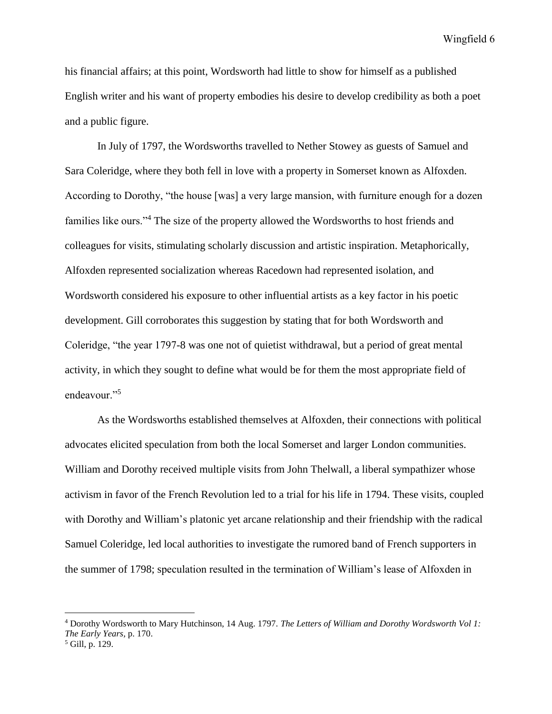his financial affairs; at this point, Wordsworth had little to show for himself as a published English writer and his want of property embodies his desire to develop credibility as both a poet and a public figure.

In July of 1797, the Wordsworths travelled to Nether Stowey as guests of Samuel and Sara Coleridge, where they both fell in love with a property in Somerset known as Alfoxden. According to Dorothy, "the house [was] a very large mansion, with furniture enough for a dozen families like ours."<sup>4</sup> The size of the property allowed the Wordsworths to host friends and colleagues for visits, stimulating scholarly discussion and artistic inspiration. Metaphorically, Alfoxden represented socialization whereas Racedown had represented isolation, and Wordsworth considered his exposure to other influential artists as a key factor in his poetic development. Gill corroborates this suggestion by stating that for both Wordsworth and Coleridge, "the year 1797-8 was one not of quietist withdrawal, but a period of great mental activity, in which they sought to define what would be for them the most appropriate field of endeavour."<sup>5</sup>

As the Wordsworths established themselves at Alfoxden, their connections with political advocates elicited speculation from both the local Somerset and larger London communities. William and Dorothy received multiple visits from John Thelwall, a liberal sympathizer whose activism in favor of the French Revolution led to a trial for his life in 1794. These visits, coupled with Dorothy and William's platonic yet arcane relationship and their friendship with the radical Samuel Coleridge, led local authorities to investigate the rumored band of French supporters in the summer of 1798; speculation resulted in the termination of William's lease of Alfoxden in

<sup>4</sup> Dorothy Wordsworth to Mary Hutchinson, 14 Aug. 1797. *The Letters of William and Dorothy Wordsworth Vol 1: The Early Years,* p. 170.

<sup>5</sup> Gill, p. 129.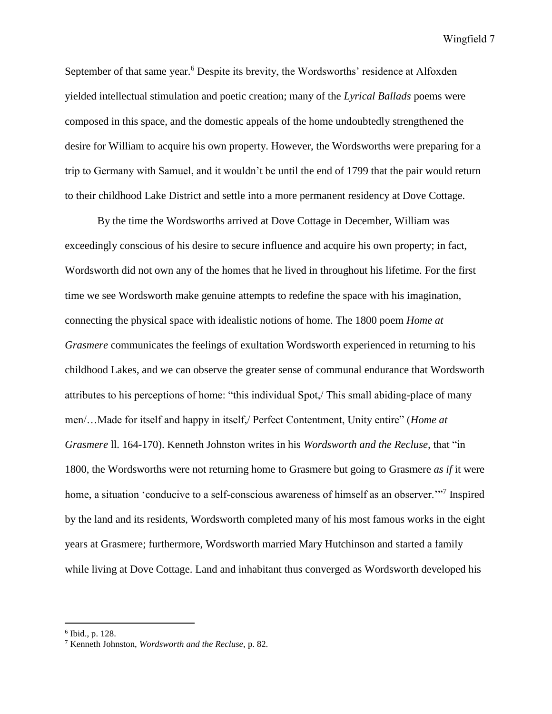September of that same year.<sup>6</sup> Despite its brevity, the Wordsworths' residence at Alfoxden yielded intellectual stimulation and poetic creation; many of the *Lyrical Ballads* poems were composed in this space, and the domestic appeals of the home undoubtedly strengthened the desire for William to acquire his own property. However, the Wordsworths were preparing for a trip to Germany with Samuel, and it wouldn't be until the end of 1799 that the pair would return to their childhood Lake District and settle into a more permanent residency at Dove Cottage.

By the time the Wordsworths arrived at Dove Cottage in December, William was exceedingly conscious of his desire to secure influence and acquire his own property; in fact, Wordsworth did not own any of the homes that he lived in throughout his lifetime. For the first time we see Wordsworth make genuine attempts to redefine the space with his imagination, connecting the physical space with idealistic notions of home. The 1800 poem *Home at Grasmere* communicates the feelings of exultation Wordsworth experienced in returning to his childhood Lakes, and we can observe the greater sense of communal endurance that Wordsworth attributes to his perceptions of home: "this individual Spot,/ This small abiding-place of many men/…Made for itself and happy in itself,/ Perfect Contentment, Unity entire" (*Home at Grasmere* ll. 164-170). Kenneth Johnston writes in his *Wordsworth and the Recluse,* that "in 1800, the Wordsworths were not returning home to Grasmere but going to Grasmere *as if* it were home, a situation 'conducive to a self-conscious awareness of himself as an observer."<sup>7</sup> Inspired by the land and its residents, Wordsworth completed many of his most famous works in the eight years at Grasmere; furthermore, Wordsworth married Mary Hutchinson and started a family while living at Dove Cottage. Land and inhabitant thus converged as Wordsworth developed his

<sup>6</sup> Ibid., p. 128.

<sup>7</sup> Kenneth Johnston, *Wordsworth and the Recluse,* p. 82.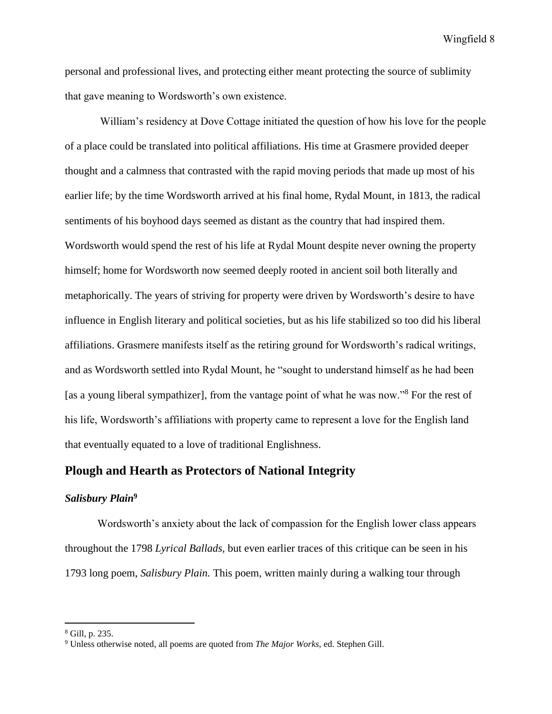personal and professional lives, and protecting either meant protecting the source of sublimity that gave meaning to Wordsworth's own existence.

William's residency at Dove Cottage initiated the question of how his love for the people of a place could be translated into political affiliations. His time at Grasmere provided deeper thought and a calmness that contrasted with the rapid moving periods that made up most of his earlier life; by the time Wordsworth arrived at his final home, Rydal Mount, in 1813, the radical sentiments of his boyhood days seemed as distant as the country that had inspired them. Wordsworth would spend the rest of his life at Rydal Mount despite never owning the property himself; home for Wordsworth now seemed deeply rooted in ancient soil both literally and metaphorically. The years of striving for property were driven by Wordsworth's desire to have influence in English literary and political societies, but as his life stabilized so too did his liberal affiliations. Grasmere manifests itself as the retiring ground for Wordsworth's radical writings, and as Wordsworth settled into Rydal Mount, he "sought to understand himself as he had been [as a young liberal sympathizer], from the vantage point of what he was now."<sup>8</sup> For the rest of his life, Wordsworth's affiliations with property came to represent a love for the English land that eventually equated to a love of traditional Englishness.

## **Plough and Hearth as Protectors of National Integrity**

## *Salisbury Plain***<sup>9</sup>**

Wordsworth's anxiety about the lack of compassion for the English lower class appears throughout the 1798 *Lyrical Ballads,* but even earlier traces of this critique can be seen in his 1793 long poem, *Salisbury Plain.* This poem, written mainly during a walking tour through

<sup>8</sup> Gill, p. 235.

<sup>9</sup> Unless otherwise noted, all poems are quoted from *The Major Works,* ed. Stephen Gill.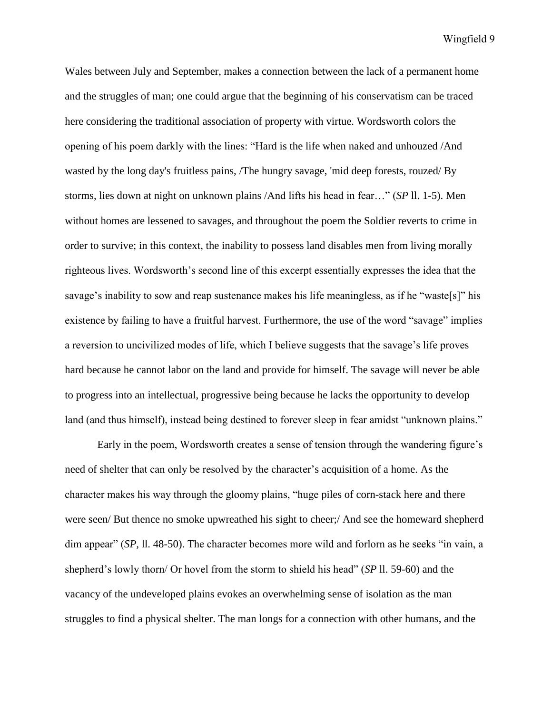Wales between July and September, makes a connection between the lack of a permanent home and the struggles of man; one could argue that the beginning of his conservatism can be traced here considering the traditional association of property with virtue. Wordsworth colors the opening of his poem darkly with the lines: "Hard is the life when naked and unhouzed /And wasted by the long day's fruitless pains, /The hungry savage, 'mid deep forests, rouzed/ By storms, lies down at night on unknown plains /And lifts his head in fear…" (*SP* ll. 1-5). Men without homes are lessened to savages, and throughout the poem the Soldier reverts to crime in order to survive; in this context, the inability to possess land disables men from living morally righteous lives. Wordsworth's second line of this excerpt essentially expresses the idea that the savage's inability to sow and reap sustenance makes his life meaningless, as if he "waste[s]" his existence by failing to have a fruitful harvest. Furthermore, the use of the word "savage" implies a reversion to uncivilized modes of life, which I believe suggests that the savage's life proves hard because he cannot labor on the land and provide for himself. The savage will never be able to progress into an intellectual, progressive being because he lacks the opportunity to develop land (and thus himself), instead being destined to forever sleep in fear amidst "unknown plains."

Early in the poem, Wordsworth creates a sense of tension through the wandering figure's need of shelter that can only be resolved by the character's acquisition of a home. As the character makes his way through the gloomy plains, "huge piles of corn-stack here and there were seen/ But thence no smoke upwreathed his sight to cheer;/ And see the homeward shepherd dim appear" (*SP,* ll. 48-50). The character becomes more wild and forlorn as he seeks "in vain, a shepherd's lowly thorn/ Or hovel from the storm to shield his head" (*SP* ll. 59-60) and the vacancy of the undeveloped plains evokes an overwhelming sense of isolation as the man struggles to find a physical shelter. The man longs for a connection with other humans, and the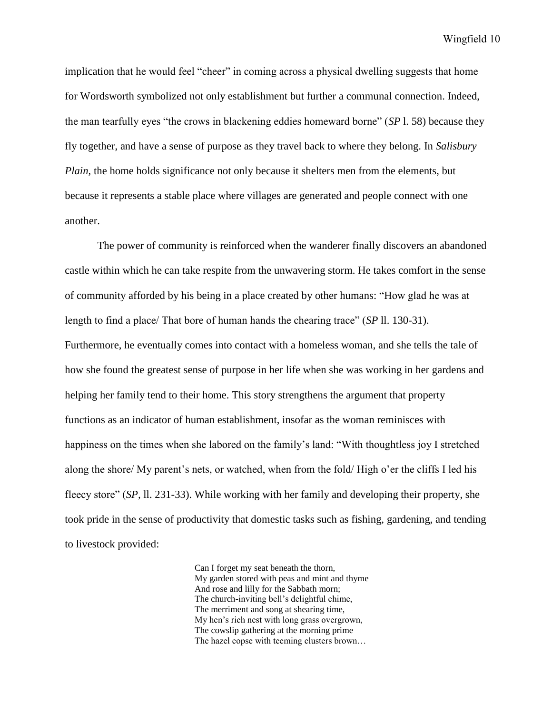implication that he would feel "cheer" in coming across a physical dwelling suggests that home for Wordsworth symbolized not only establishment but further a communal connection. Indeed, the man tearfully eyes "the crows in blackening eddies homeward borne" (*SP* l. 58) because they fly together, and have a sense of purpose as they travel back to where they belong. In *Salisbury Plain*, the home holds significance not only because it shelters men from the elements, but because it represents a stable place where villages are generated and people connect with one another.

The power of community is reinforced when the wanderer finally discovers an abandoned castle within which he can take respite from the unwavering storm. He takes comfort in the sense of community afforded by his being in a place created by other humans: "How glad he was at length to find a place/ That bore of human hands the chearing trace" (*SP* ll. 130-31). Furthermore, he eventually comes into contact with a homeless woman, and she tells the tale of how she found the greatest sense of purpose in her life when she was working in her gardens and helping her family tend to their home. This story strengthens the argument that property functions as an indicator of human establishment, insofar as the woman reminisces with happiness on the times when she labored on the family's land: "With thoughtless joy I stretched along the shore/ My parent's nets, or watched, when from the fold/ High o'er the cliffs I led his fleecy store" (*SP,* ll. 231-33). While working with her family and developing their property, she took pride in the sense of productivity that domestic tasks such as fishing, gardening, and tending to livestock provided:

> Can I forget my seat beneath the thorn, My garden stored with peas and mint and thyme And rose and lilly for the Sabbath morn; The church-inviting bell's delightful chime, The merriment and song at shearing time, My hen's rich nest with long grass overgrown, The cowslip gathering at the morning prime The hazel copse with teeming clusters brown…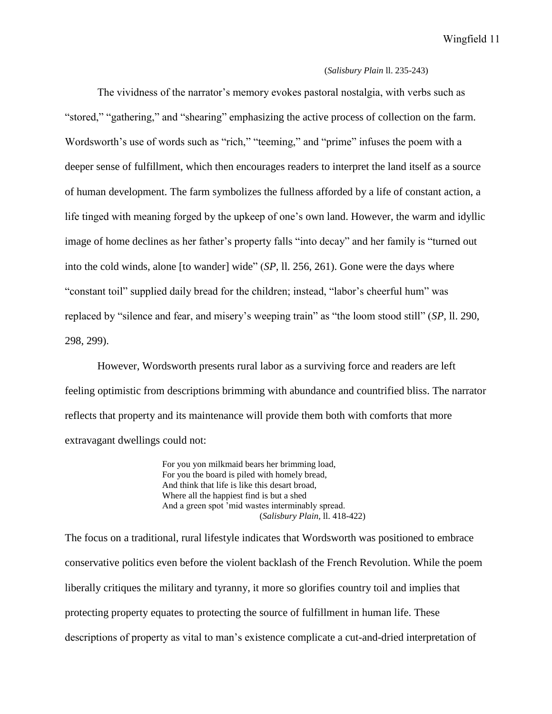#### (*Salisbury Plain* ll. 235-243)

The vividness of the narrator's memory evokes pastoral nostalgia, with verbs such as "stored," "gathering," and "shearing" emphasizing the active process of collection on the farm. Wordsworth's use of words such as "rich," "teeming," and "prime" infuses the poem with a deeper sense of fulfillment, which then encourages readers to interpret the land itself as a source of human development. The farm symbolizes the fullness afforded by a life of constant action, a life tinged with meaning forged by the upkeep of one's own land. However, the warm and idyllic image of home declines as her father's property falls "into decay" and her family is "turned out into the cold winds, alone [to wander] wide" (*SP,* ll. 256, 261). Gone were the days where "constant toil" supplied daily bread for the children; instead, "labor's cheerful hum" was replaced by "silence and fear, and misery's weeping train" as "the loom stood still" (*SP,* ll. 290, 298, 299).

However, Wordsworth presents rural labor as a surviving force and readers are left feeling optimistic from descriptions brimming with abundance and countrified bliss. The narrator reflects that property and its maintenance will provide them both with comforts that more extravagant dwellings could not:

> For you yon milkmaid bears her brimming load, For you the board is piled with homely bread, And think that life is like this desart broad, Where all the happiest find is but a shed And a green spot 'mid wastes interminably spread. (*Salisbury Plain,* ll. 418-422)

The focus on a traditional, rural lifestyle indicates that Wordsworth was positioned to embrace conservative politics even before the violent backlash of the French Revolution. While the poem liberally critiques the military and tyranny, it more so glorifies country toil and implies that protecting property equates to protecting the source of fulfillment in human life. These descriptions of property as vital to man's existence complicate a cut-and-dried interpretation of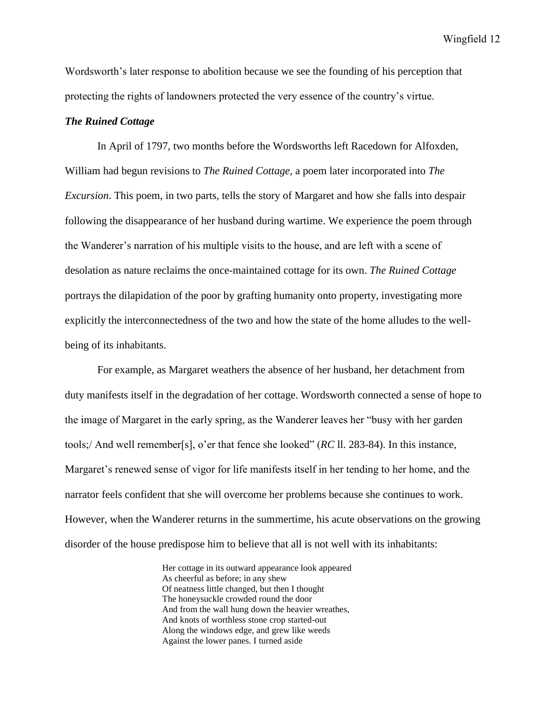Wordsworth's later response to abolition because we see the founding of his perception that protecting the rights of landowners protected the very essence of the country's virtue.

#### *The Ruined Cottage*

In April of 1797, two months before the Wordsworths left Racedown for Alfoxden, William had begun revisions to *The Ruined Cottage,* a poem later incorporated into *The Excursion*. This poem, in two parts, tells the story of Margaret and how she falls into despair following the disappearance of her husband during wartime. We experience the poem through the Wanderer's narration of his multiple visits to the house, and are left with a scene of desolation as nature reclaims the once-maintained cottage for its own. *The Ruined Cottage*  portrays the dilapidation of the poor by grafting humanity onto property, investigating more explicitly the interconnectedness of the two and how the state of the home alludes to the wellbeing of its inhabitants.

For example, as Margaret weathers the absence of her husband, her detachment from duty manifests itself in the degradation of her cottage. Wordsworth connected a sense of hope to the image of Margaret in the early spring, as the Wanderer leaves her "busy with her garden tools;/ And well remember[s], o'er that fence she looked" (*RC* ll. 283-84). In this instance, Margaret's renewed sense of vigor for life manifests itself in her tending to her home, and the narrator feels confident that she will overcome her problems because she continues to work. However, when the Wanderer returns in the summertime, his acute observations on the growing disorder of the house predispose him to believe that all is not well with its inhabitants:

> Her cottage in its outward appearance look appeared As cheerful as before; in any shew Of neatness little changed, but then I thought The honeysuckle crowded round the door And from the wall hung down the heavier wreathes, And knots of worthless stone crop started-out Along the windows edge, and grew like weeds Against the lower panes. I turned aside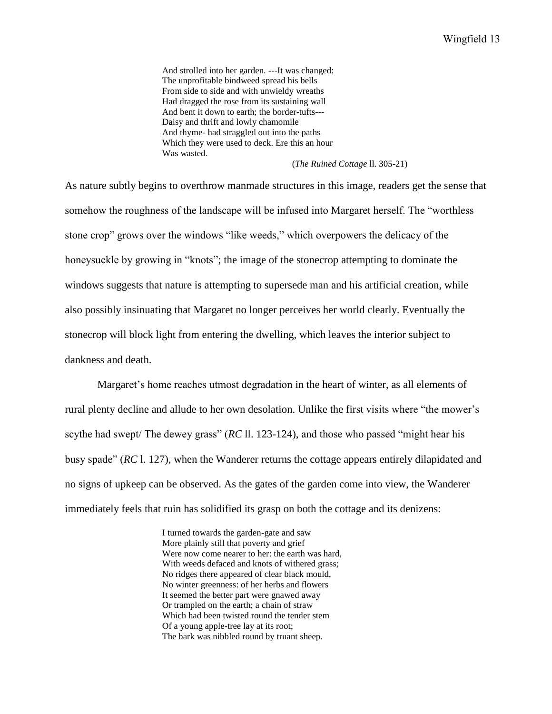And strolled into her garden. ---It was changed: The unprofitable bindweed spread his bells From side to side and with unwieldy wreaths Had dragged the rose from its sustaining wall And bent it down to earth; the border-tufts--- Daisy and thrift and lowly chamomile And thyme- had straggled out into the paths Which they were used to deck. Ere this an hour Was wasted.

#### (*The Ruined Cottage* ll. 305-21)

As nature subtly begins to overthrow manmade structures in this image, readers get the sense that somehow the roughness of the landscape will be infused into Margaret herself. The "worthless stone crop" grows over the windows "like weeds," which overpowers the delicacy of the honeysuckle by growing in "knots"; the image of the stonecrop attempting to dominate the windows suggests that nature is attempting to supersede man and his artificial creation, while also possibly insinuating that Margaret no longer perceives her world clearly. Eventually the stonecrop will block light from entering the dwelling, which leaves the interior subject to dankness and death.

Margaret's home reaches utmost degradation in the heart of winter, as all elements of rural plenty decline and allude to her own desolation. Unlike the first visits where "the mower's scythe had swept/ The dewey grass" (*RC* ll. 123-124), and those who passed "might hear his busy spade" (*RC* l. 127), when the Wanderer returns the cottage appears entirely dilapidated and no signs of upkeep can be observed. As the gates of the garden come into view, the Wanderer immediately feels that ruin has solidified its grasp on both the cottage and its denizens:

> I turned towards the garden-gate and saw More plainly still that poverty and grief Were now come nearer to her: the earth was hard, With weeds defaced and knots of withered grass; No ridges there appeared of clear black mould, No winter greenness: of her herbs and flowers It seemed the better part were gnawed away Or trampled on the earth; a chain of straw Which had been twisted round the tender stem Of a young apple-tree lay at its root; The bark was nibbled round by truant sheep.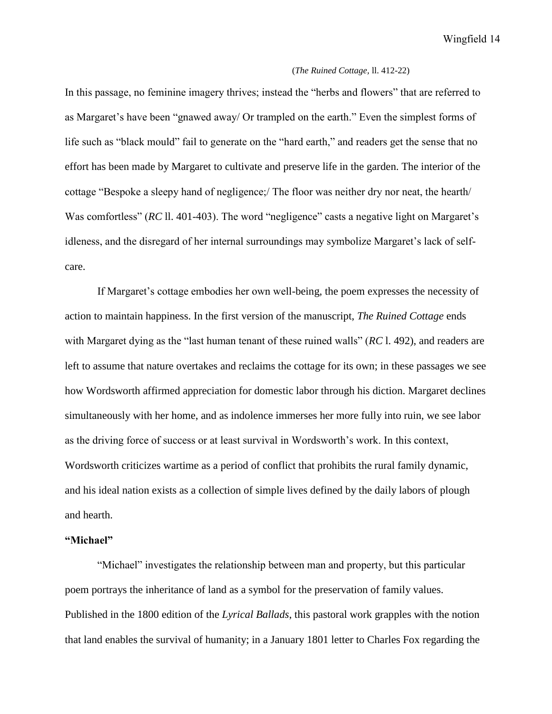#### (*The Ruined Cottage,* ll. 412-22)

In this passage, no feminine imagery thrives; instead the "herbs and flowers" that are referred to as Margaret's have been "gnawed away/ Or trampled on the earth." Even the simplest forms of life such as "black mould" fail to generate on the "hard earth," and readers get the sense that no effort has been made by Margaret to cultivate and preserve life in the garden. The interior of the cottage "Bespoke a sleepy hand of negligence;/ The floor was neither dry nor neat, the hearth/ Was comfortless" (*RC* 11.401-403). The word "negligence" casts a negative light on Margaret's idleness, and the disregard of her internal surroundings may symbolize Margaret's lack of selfcare.

If Margaret's cottage embodies her own well-being, the poem expresses the necessity of action to maintain happiness. In the first version of the manuscript, *The Ruined Cottage* ends with Margaret dying as the "last human tenant of these ruined walls" (*RC* l. 492), and readers are left to assume that nature overtakes and reclaims the cottage for its own; in these passages we see how Wordsworth affirmed appreciation for domestic labor through his diction. Margaret declines simultaneously with her home, and as indolence immerses her more fully into ruin, we see labor as the driving force of success or at least survival in Wordsworth's work. In this context, Wordsworth criticizes wartime as a period of conflict that prohibits the rural family dynamic, and his ideal nation exists as a collection of simple lives defined by the daily labors of plough and hearth.

#### **"Michael"**

"Michael" investigates the relationship between man and property, but this particular poem portrays the inheritance of land as a symbol for the preservation of family values. Published in the 1800 edition of the *Lyrical Ballads*, this pastoral work grapples with the notion that land enables the survival of humanity; in a January 1801 letter to Charles Fox regarding the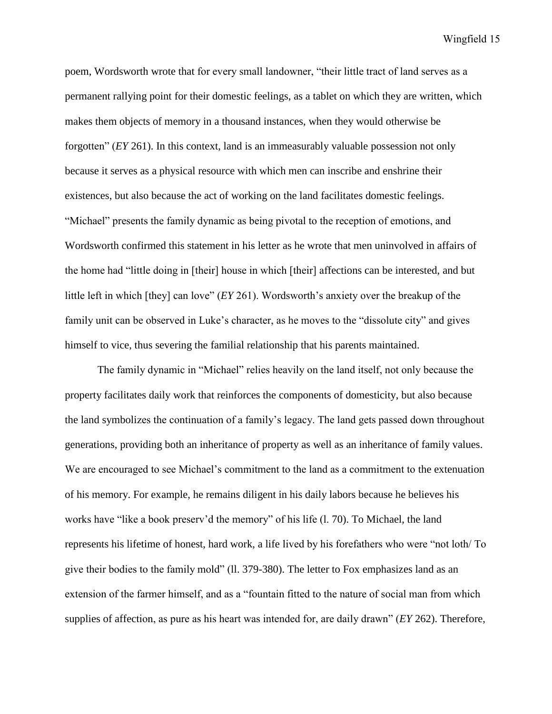poem, Wordsworth wrote that for every small landowner, "their little tract of land serves as a permanent rallying point for their domestic feelings, as a tablet on which they are written, which makes them objects of memory in a thousand instances, when they would otherwise be forgotten" (*EY* 261). In this context, land is an immeasurably valuable possession not only because it serves as a physical resource with which men can inscribe and enshrine their existences, but also because the act of working on the land facilitates domestic feelings. "Michael" presents the family dynamic as being pivotal to the reception of emotions, and Wordsworth confirmed this statement in his letter as he wrote that men uninvolved in affairs of the home had "little doing in [their] house in which [their] affections can be interested, and but little left in which [they] can love" (*EY* 261). Wordsworth's anxiety over the breakup of the family unit can be observed in Luke's character, as he moves to the "dissolute city" and gives himself to vice, thus severing the familial relationship that his parents maintained.

The family dynamic in "Michael" relies heavily on the land itself, not only because the property facilitates daily work that reinforces the components of domesticity, but also because the land symbolizes the continuation of a family's legacy. The land gets passed down throughout generations, providing both an inheritance of property as well as an inheritance of family values. We are encouraged to see Michael's commitment to the land as a commitment to the extenuation of his memory. For example, he remains diligent in his daily labors because he believes his works have "like a book preserv'd the memory" of his life (l. 70). To Michael, the land represents his lifetime of honest, hard work, a life lived by his forefathers who were "not loth/ To give their bodies to the family mold" (ll. 379-380). The letter to Fox emphasizes land as an extension of the farmer himself, and as a "fountain fitted to the nature of social man from which supplies of affection, as pure as his heart was intended for, are daily drawn" (*EY* 262). Therefore,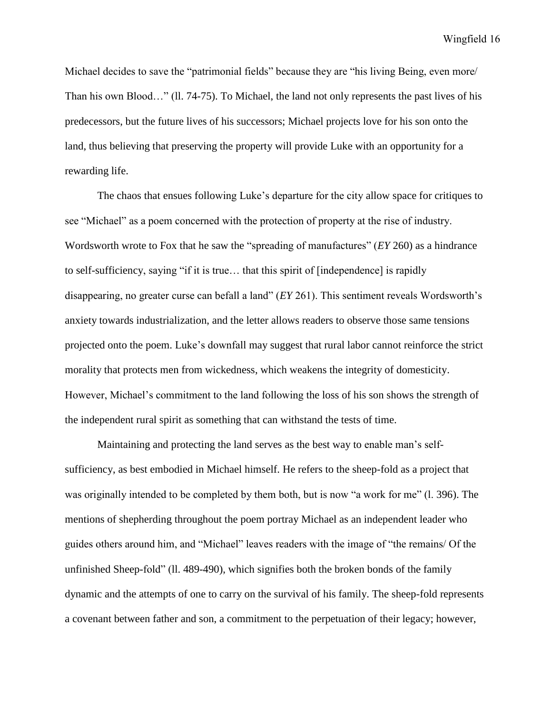Michael decides to save the "patrimonial fields" because they are "his living Being, even more/ Than his own Blood…" (ll. 74-75). To Michael, the land not only represents the past lives of his predecessors, but the future lives of his successors; Michael projects love for his son onto the land, thus believing that preserving the property will provide Luke with an opportunity for a rewarding life.

The chaos that ensues following Luke's departure for the city allow space for critiques to see "Michael" as a poem concerned with the protection of property at the rise of industry. Wordsworth wrote to Fox that he saw the "spreading of manufactures" (*EY* 260) as a hindrance to self-sufficiency, saying "if it is true… that this spirit of [independence] is rapidly disappearing, no greater curse can befall a land" (*EY* 261). This sentiment reveals Wordsworth's anxiety towards industrialization, and the letter allows readers to observe those same tensions projected onto the poem. Luke's downfall may suggest that rural labor cannot reinforce the strict morality that protects men from wickedness, which weakens the integrity of domesticity. However, Michael's commitment to the land following the loss of his son shows the strength of the independent rural spirit as something that can withstand the tests of time.

Maintaining and protecting the land serves as the best way to enable man's selfsufficiency, as best embodied in Michael himself. He refers to the sheep-fold as a project that was originally intended to be completed by them both, but is now "a work for me" (l. 396). The mentions of shepherding throughout the poem portray Michael as an independent leader who guides others around him, and "Michael" leaves readers with the image of "the remains/ Of the unfinished Sheep-fold" (ll. 489-490), which signifies both the broken bonds of the family dynamic and the attempts of one to carry on the survival of his family. The sheep-fold represents a covenant between father and son, a commitment to the perpetuation of their legacy; however,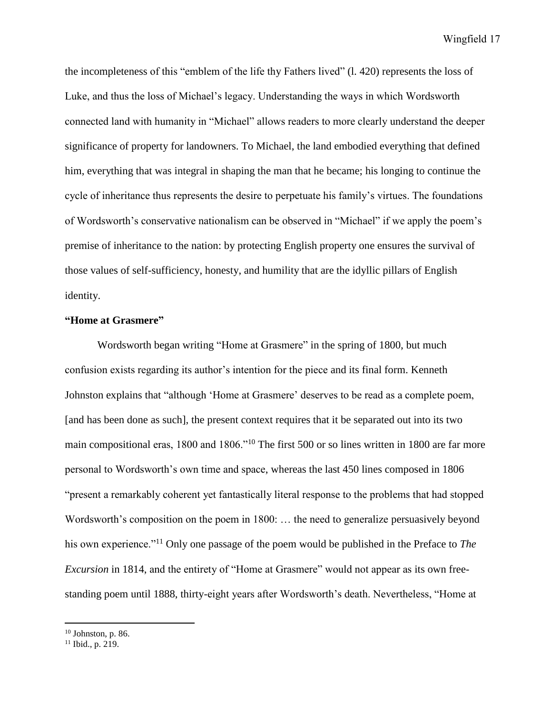the incompleteness of this "emblem of the life thy Fathers lived" (l. 420) represents the loss of Luke, and thus the loss of Michael's legacy. Understanding the ways in which Wordsworth connected land with humanity in "Michael" allows readers to more clearly understand the deeper significance of property for landowners. To Michael, the land embodied everything that defined him, everything that was integral in shaping the man that he became; his longing to continue the cycle of inheritance thus represents the desire to perpetuate his family's virtues. The foundations of Wordsworth's conservative nationalism can be observed in "Michael" if we apply the poem's premise of inheritance to the nation: by protecting English property one ensures the survival of those values of self-sufficiency, honesty, and humility that are the idyllic pillars of English identity.

## **"Home at Grasmere"**

Wordsworth began writing "Home at Grasmere" in the spring of 1800, but much confusion exists regarding its author's intention for the piece and its final form. Kenneth Johnston explains that "although 'Home at Grasmere' deserves to be read as a complete poem, [and has been done as such], the present context requires that it be separated out into its two main compositional eras, 1800 and 1806."<sup>10</sup> The first 500 or so lines written in 1800 are far more personal to Wordsworth's own time and space, whereas the last 450 lines composed in 1806 "present a remarkably coherent yet fantastically literal response to the problems that had stopped Wordsworth's composition on the poem in 1800: … the need to generalize persuasively beyond his own experience."<sup>11</sup> Only one passage of the poem would be published in the Preface to *The Excursion* in 1814, and the entirety of "Home at Grasmere" would not appear as its own freestanding poem until 1888, thirty-eight years after Wordsworth's death. Nevertheless, "Home at

 $10$  Johnston, p. 86.

 $11$  Ibid., p. 219.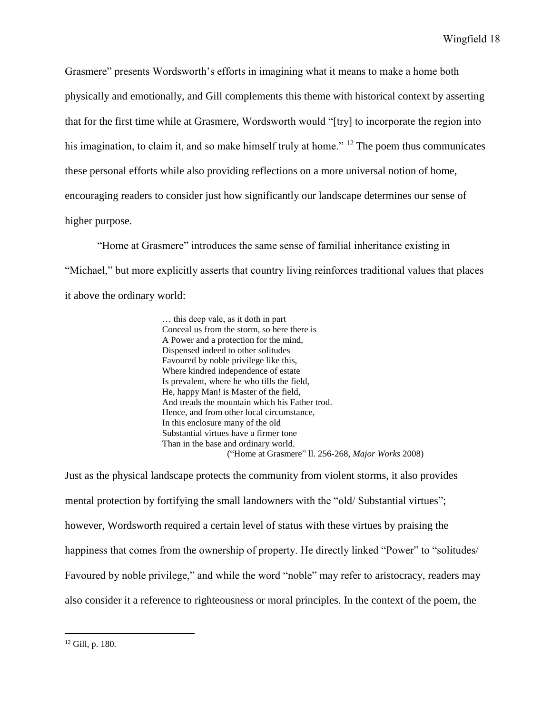Grasmere" presents Wordsworth's efforts in imagining what it means to make a home both physically and emotionally, and Gill complements this theme with historical context by asserting that for the first time while at Grasmere, Wordsworth would "[try] to incorporate the region into his imagination, to claim it, and so make himself truly at home." <sup>12</sup> The poem thus communicates these personal efforts while also providing reflections on a more universal notion of home, encouraging readers to consider just how significantly our landscape determines our sense of higher purpose.

"Home at Grasmere" introduces the same sense of familial inheritance existing in "Michael," but more explicitly asserts that country living reinforces traditional values that places it above the ordinary world:

> … this deep vale, as it doth in part Conceal us from the storm, so here there is A Power and a protection for the mind, Dispensed indeed to other solitudes Favoured by noble privilege like this, Where kindred independence of estate Is prevalent, where he who tills the field, He, happy Man! is Master of the field, And treads the mountain which his Father trod. Hence, and from other local circumstance, In this enclosure many of the old Substantial virtues have a firmer tone Than in the base and ordinary world. ("Home at Grasmere" ll. 256-268, *Major Works* 2008)

Just as the physical landscape protects the community from violent storms, it also provides mental protection by fortifying the small landowners with the "old/ Substantial virtues"; however, Wordsworth required a certain level of status with these virtues by praising the happiness that comes from the ownership of property. He directly linked "Power" to "solitudes/ Favoured by noble privilege," and while the word "noble" may refer to aristocracy, readers may also consider it a reference to righteousness or moral principles. In the context of the poem, the

<sup>12</sup> Gill, p. 180.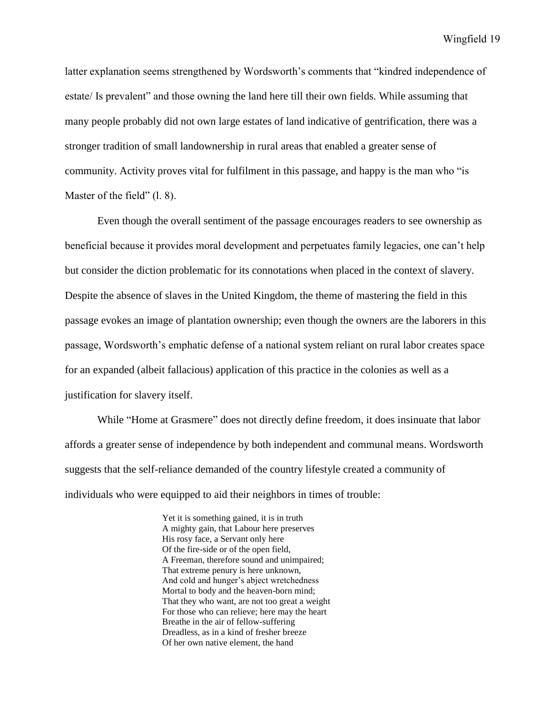latter explanation seems strengthened by Wordsworth's comments that "kindred independence of estate/ Is prevalent" and those owning the land here till their own fields. While assuming that many people probably did not own large estates of land indicative of gentrification, there was a stronger tradition of small landownership in rural areas that enabled a greater sense of community. Activity proves vital for fulfilment in this passage, and happy is the man who "is Master of the field" (1.8).

Even though the overall sentiment of the passage encourages readers to see ownership as beneficial because it provides moral development and perpetuates family legacies, one can't help but consider the diction problematic for its connotations when placed in the context of slavery. Despite the absence of slaves in the United Kingdom, the theme of mastering the field in this passage evokes an image of plantation ownership; even though the owners are the laborers in this passage, Wordsworth's emphatic defense of a national system reliant on rural labor creates space for an expanded (albeit fallacious) application of this practice in the colonies as well as a justification for slavery itself.

While "Home at Grasmere" does not directly define freedom, it does insinuate that labor affords a greater sense of independence by both independent and communal means. Wordsworth suggests that the self-reliance demanded of the country lifestyle created a community of individuals who were equipped to aid their neighbors in times of trouble:

> Yet it is something gained, it is in truth A mighty gain, that Labour here preserves His rosy face, a Servant only here Of the fire-side or of the open field, A Freeman, therefore sound and unimpaired; That extreme penury is here unknown, And cold and hunger's abject wretchedness Mortal to body and the heaven-born mind; That they who want, are not too great a weight For those who can relieve; here may the heart Breathe in the air of fellow-suffering Dreadless, as in a kind of fresher breeze Of her own native element, the hand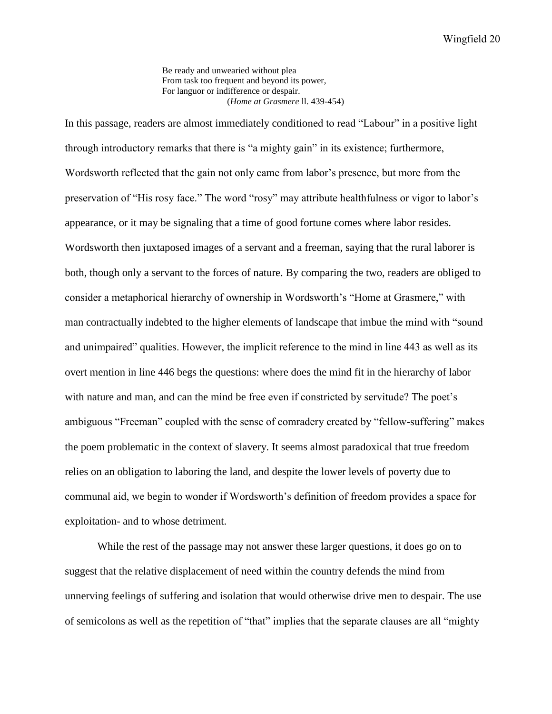Be ready and unwearied without plea From task too frequent and beyond its power. For languor or indifference or despair. (*Home at Grasmere* ll. 439-454)

In this passage, readers are almost immediately conditioned to read "Labour" in a positive light through introductory remarks that there is "a mighty gain" in its existence; furthermore, Wordsworth reflected that the gain not only came from labor's presence, but more from the preservation of "His rosy face." The word "rosy" may attribute healthfulness or vigor to labor's appearance, or it may be signaling that a time of good fortune comes where labor resides. Wordsworth then juxtaposed images of a servant and a freeman, saying that the rural laborer is both, though only a servant to the forces of nature. By comparing the two, readers are obliged to consider a metaphorical hierarchy of ownership in Wordsworth's "Home at Grasmere," with man contractually indebted to the higher elements of landscape that imbue the mind with "sound and unimpaired" qualities. However, the implicit reference to the mind in line 443 as well as its overt mention in line 446 begs the questions: where does the mind fit in the hierarchy of labor with nature and man, and can the mind be free even if constricted by servitude? The poet's ambiguous "Freeman" coupled with the sense of comradery created by "fellow-suffering" makes the poem problematic in the context of slavery. It seems almost paradoxical that true freedom relies on an obligation to laboring the land, and despite the lower levels of poverty due to communal aid, we begin to wonder if Wordsworth's definition of freedom provides a space for exploitation- and to whose detriment.

While the rest of the passage may not answer these larger questions, it does go on to suggest that the relative displacement of need within the country defends the mind from unnerving feelings of suffering and isolation that would otherwise drive men to despair. The use of semicolons as well as the repetition of "that" implies that the separate clauses are all "mighty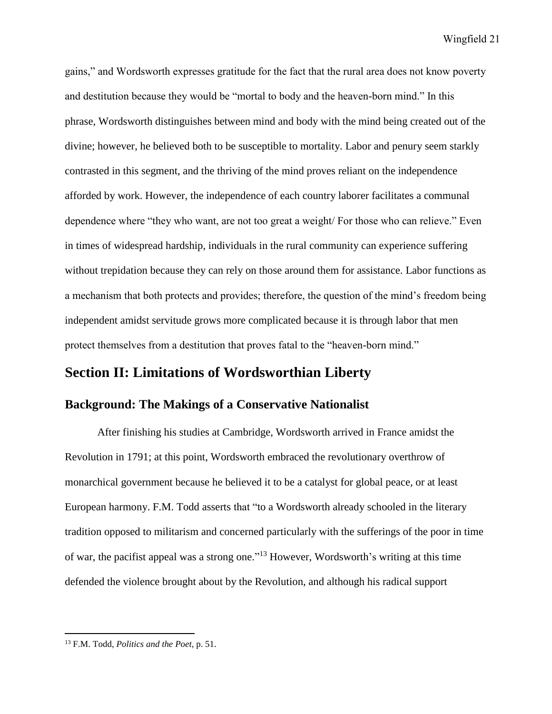gains," and Wordsworth expresses gratitude for the fact that the rural area does not know poverty and destitution because they would be "mortal to body and the heaven-born mind." In this phrase, Wordsworth distinguishes between mind and body with the mind being created out of the divine; however, he believed both to be susceptible to mortality. Labor and penury seem starkly contrasted in this segment, and the thriving of the mind proves reliant on the independence afforded by work. However, the independence of each country laborer facilitates a communal dependence where "they who want, are not too great a weight/ For those who can relieve." Even in times of widespread hardship, individuals in the rural community can experience suffering without trepidation because they can rely on those around them for assistance. Labor functions as a mechanism that both protects and provides; therefore, the question of the mind's freedom being independent amidst servitude grows more complicated because it is through labor that men protect themselves from a destitution that proves fatal to the "heaven-born mind."

## **Section II: Limitations of Wordsworthian Liberty**

## **Background: The Makings of a Conservative Nationalist**

After finishing his studies at Cambridge, Wordsworth arrived in France amidst the Revolution in 1791; at this point, Wordsworth embraced the revolutionary overthrow of monarchical government because he believed it to be a catalyst for global peace, or at least European harmony. F.M. Todd asserts that "to a Wordsworth already schooled in the literary tradition opposed to militarism and concerned particularly with the sufferings of the poor in time of war, the pacifist appeal was a strong one."<sup>13</sup> However, Wordsworth's writing at this time defended the violence brought about by the Revolution, and although his radical support

<sup>13</sup> F.M. Todd, *Politics and the Poet*, p. 51.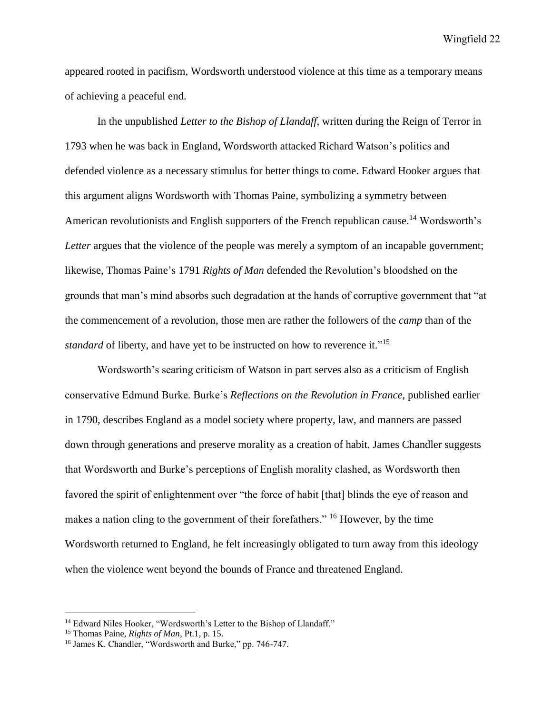appeared rooted in pacifism, Wordsworth understood violence at this time as a temporary means of achieving a peaceful end.

In the unpublished *Letter to the Bishop of Llandaff*, written during the Reign of Terror in 1793 when he was back in England, Wordsworth attacked Richard Watson's politics and defended violence as a necessary stimulus for better things to come. Edward Hooker argues that this argument aligns Wordsworth with Thomas Paine*,* symbolizing a symmetry between American revolutionists and English supporters of the French republican cause.<sup>14</sup> Wordsworth's *Letter* argues that the violence of the people was merely a symptom of an incapable government; likewise, Thomas Paine's 1791 *Rights of Man* defended the Revolution's bloodshed on the grounds that man's mind absorbs such degradation at the hands of corruptive government that "at the commencement of a revolution, those men are rather the followers of the *camp* than of the standard of liberty, and have yet to be instructed on how to reverence it."<sup>15</sup>

Wordsworth's searing criticism of Watson in part serves also as a criticism of English conservative Edmund Burke. Burke's *Reflections on the Revolution in France,* published earlier in 1790, describes England as a model society where property, law, and manners are passed down through generations and preserve morality as a creation of habit. James Chandler suggests that Wordsworth and Burke's perceptions of English morality clashed, as Wordsworth then favored the spirit of enlightenment over "the force of habit [that] blinds the eye of reason and makes a nation cling to the government of their forefathers." <sup>16</sup> However, by the time Wordsworth returned to England, he felt increasingly obligated to turn away from this ideology when the violence went beyond the bounds of France and threatened England.

<sup>&</sup>lt;sup>14</sup> Edward Niles Hooker, "Wordsworth's Letter to the Bishop of Llandaff."

<sup>15</sup> Thomas Paine, *Rights of Man*, Pt.1, p. 15.

<sup>16</sup> James K. Chandler, "Wordsworth and Burke," pp. 746-747.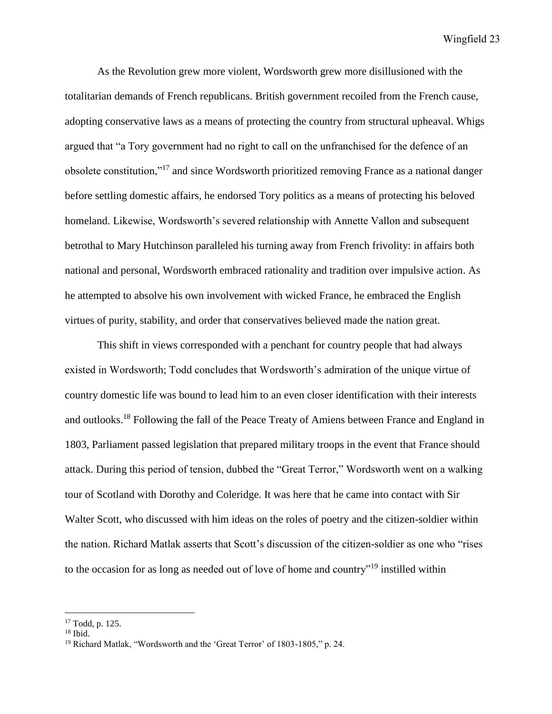As the Revolution grew more violent, Wordsworth grew more disillusioned with the totalitarian demands of French republicans. British government recoiled from the French cause, adopting conservative laws as a means of protecting the country from structural upheaval. Whigs argued that "a Tory government had no right to call on the unfranchised for the defence of an obsolete constitution,"<sup>17</sup> and since Wordsworth prioritized removing France as a national danger before settling domestic affairs, he endorsed Tory politics as a means of protecting his beloved homeland. Likewise, Wordsworth's severed relationship with Annette Vallon and subsequent betrothal to Mary Hutchinson paralleled his turning away from French frivolity: in affairs both national and personal, Wordsworth embraced rationality and tradition over impulsive action. As he attempted to absolve his own involvement with wicked France, he embraced the English virtues of purity, stability, and order that conservatives believed made the nation great.

This shift in views corresponded with a penchant for country people that had always existed in Wordsworth; Todd concludes that Wordsworth's admiration of the unique virtue of country domestic life was bound to lead him to an even closer identification with their interests and outlooks.<sup>18</sup> Following the fall of the Peace Treaty of Amiens between France and England in 1803, Parliament passed legislation that prepared military troops in the event that France should attack. During this period of tension, dubbed the "Great Terror," Wordsworth went on a walking tour of Scotland with Dorothy and Coleridge. It was here that he came into contact with Sir Walter Scott, who discussed with him ideas on the roles of poetry and the citizen-soldier within the nation. Richard Matlak asserts that Scott's discussion of the citizen-soldier as one who "rises to the occasion for as long as needed out of love of home and country"<sup>19</sup> instilled within

<sup>17</sup> Todd, p. 125.

 $18$  Ibid.

<sup>&</sup>lt;sup>19</sup> Richard Matlak, "Wordsworth and the 'Great Terror' of 1803-1805," p. 24.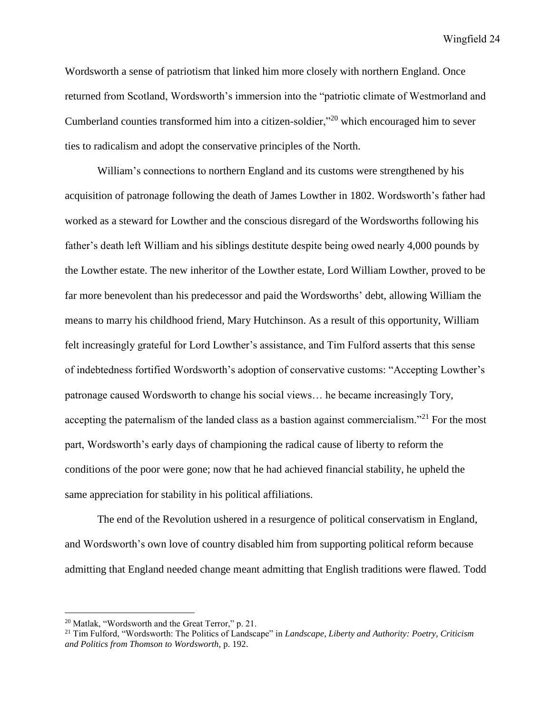Wordsworth a sense of patriotism that linked him more closely with northern England. Once returned from Scotland, Wordsworth's immersion into the "patriotic climate of Westmorland and Cumberland counties transformed him into a citizen-soldier,"<sup>20</sup> which encouraged him to sever ties to radicalism and adopt the conservative principles of the North.

William's connections to northern England and its customs were strengthened by his acquisition of patronage following the death of James Lowther in 1802. Wordsworth's father had worked as a steward for Lowther and the conscious disregard of the Wordsworths following his father's death left William and his siblings destitute despite being owed nearly 4,000 pounds by the Lowther estate. The new inheritor of the Lowther estate, Lord William Lowther, proved to be far more benevolent than his predecessor and paid the Wordsworths' debt, allowing William the means to marry his childhood friend, Mary Hutchinson. As a result of this opportunity, William felt increasingly grateful for Lord Lowther's assistance, and Tim Fulford asserts that this sense of indebtedness fortified Wordsworth's adoption of conservative customs: "Accepting Lowther's patronage caused Wordsworth to change his social views… he became increasingly Tory, accepting the paternalism of the landed class as a bastion against commercialism."<sup>21</sup> For the most part, Wordsworth's early days of championing the radical cause of liberty to reform the conditions of the poor were gone; now that he had achieved financial stability, he upheld the same appreciation for stability in his political affiliations.

The end of the Revolution ushered in a resurgence of political conservatism in England, and Wordsworth's own love of country disabled him from supporting political reform because admitting that England needed change meant admitting that English traditions were flawed. Todd

<sup>&</sup>lt;sup>20</sup> Matlak, "Wordsworth and the Great Terror," p. 21.

<sup>21</sup> Tim Fulford, "Wordsworth: The Politics of Landscape" in *Landscape, Liberty and Authority: Poetry, Criticism and Politics from Thomson to Wordsworth,* p. 192.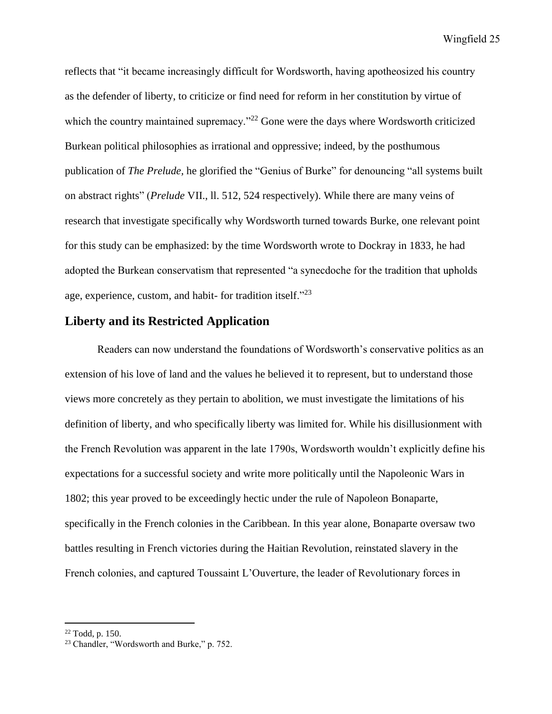reflects that "it became increasingly difficult for Wordsworth, having apotheosized his country as the defender of liberty, to criticize or find need for reform in her constitution by virtue of which the country maintained supremacy."<sup>22</sup> Gone were the days where Wordsworth criticized Burkean political philosophies as irrational and oppressive; indeed, by the posthumous publication of *The Prelude,* he glorified the "Genius of Burke" for denouncing "all systems built on abstract rights" (*Prelude* VII., ll. 512, 524 respectively). While there are many veins of research that investigate specifically why Wordsworth turned towards Burke, one relevant point for this study can be emphasized: by the time Wordsworth wrote to Dockray in 1833, he had adopted the Burkean conservatism that represented "a synecdoche for the tradition that upholds age, experience, custom, and habit- for tradition itself."<sup>23</sup>

## **Liberty and its Restricted Application**

Readers can now understand the foundations of Wordsworth's conservative politics as an extension of his love of land and the values he believed it to represent, but to understand those views more concretely as they pertain to abolition, we must investigate the limitations of his definition of liberty, and who specifically liberty was limited for. While his disillusionment with the French Revolution was apparent in the late 1790s, Wordsworth wouldn't explicitly define his expectations for a successful society and write more politically until the Napoleonic Wars in 1802; this year proved to be exceedingly hectic under the rule of Napoleon Bonaparte, specifically in the French colonies in the Caribbean. In this year alone, Bonaparte oversaw two battles resulting in French victories during the Haitian Revolution, reinstated slavery in the French colonies, and captured Toussaint L'Ouverture, the leader of Revolutionary forces in

<sup>22</sup> Todd, p. 150.

<sup>&</sup>lt;sup>23</sup> Chandler, "Wordsworth and Burke," p. 752.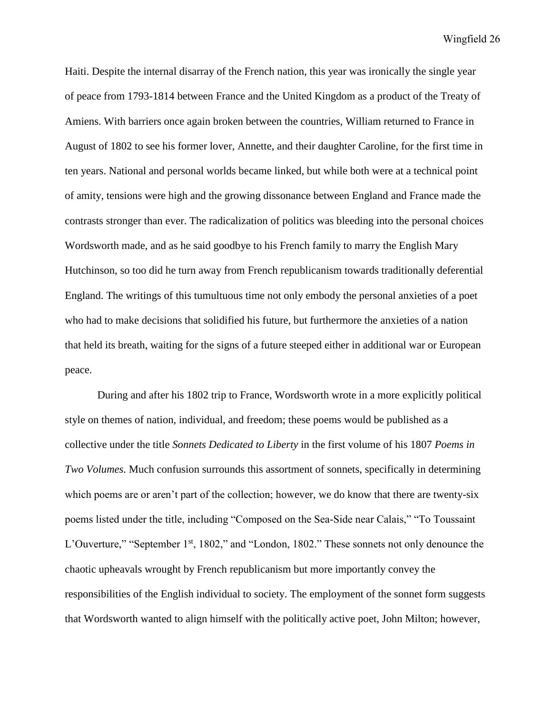Haiti. Despite the internal disarray of the French nation, this year was ironically the single year of peace from 1793-1814 between France and the United Kingdom as a product of the Treaty of Amiens. With barriers once again broken between the countries, William returned to France in August of 1802 to see his former lover, Annette, and their daughter Caroline, for the first time in ten years. National and personal worlds became linked, but while both were at a technical point of amity, tensions were high and the growing dissonance between England and France made the contrasts stronger than ever. The radicalization of politics was bleeding into the personal choices Wordsworth made, and as he said goodbye to his French family to marry the English Mary Hutchinson, so too did he turn away from French republicanism towards traditionally deferential England. The writings of this tumultuous time not only embody the personal anxieties of a poet who had to make decisions that solidified his future, but furthermore the anxieties of a nation that held its breath, waiting for the signs of a future steeped either in additional war or European peace.

During and after his 1802 trip to France, Wordsworth wrote in a more explicitly political style on themes of nation, individual, and freedom; these poems would be published as a collective under the title *Sonnets Dedicated to Liberty* in the first volume of his 1807 *Poems in Two Volumes.* Much confusion surrounds this assortment of sonnets, specifically in determining which poems are or aren't part of the collection; however, we do know that there are twenty-six poems listed under the title, including "Composed on the Sea-Side near Calais," "To Toussaint L'Ouverture," "September 1<sup>st</sup>, 1802," and "London, 1802." These sonnets not only denounce the chaotic upheavals wrought by French republicanism but more importantly convey the responsibilities of the English individual to society. The employment of the sonnet form suggests that Wordsworth wanted to align himself with the politically active poet, John Milton; however,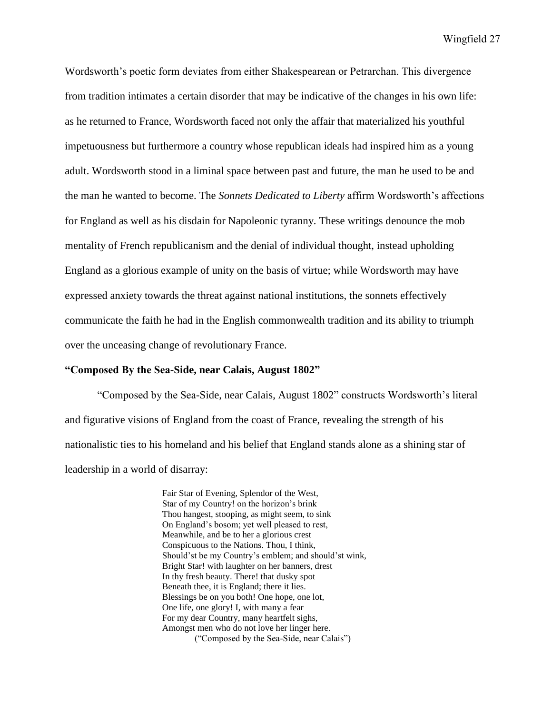Wordsworth's poetic form deviates from either Shakespearean or Petrarchan. This divergence from tradition intimates a certain disorder that may be indicative of the changes in his own life: as he returned to France, Wordsworth faced not only the affair that materialized his youthful impetuousness but furthermore a country whose republican ideals had inspired him as a young adult. Wordsworth stood in a liminal space between past and future, the man he used to be and the man he wanted to become. The *Sonnets Dedicated to Liberty* affirm Wordsworth's affections for England as well as his disdain for Napoleonic tyranny. These writings denounce the mob mentality of French republicanism and the denial of individual thought, instead upholding England as a glorious example of unity on the basis of virtue; while Wordsworth may have expressed anxiety towards the threat against national institutions, the sonnets effectively communicate the faith he had in the English commonwealth tradition and its ability to triumph over the unceasing change of revolutionary France.

#### **"Composed By the Sea-Side, near Calais, August 1802"**

"Composed by the Sea-Side, near Calais, August 1802" constructs Wordsworth's literal and figurative visions of England from the coast of France, revealing the strength of his nationalistic ties to his homeland and his belief that England stands alone as a shining star of leadership in a world of disarray:

> Fair Star of Evening, Splendor of the West, Star of my Country! on the horizon's brink Thou hangest, stooping, as might seem, to sink On England's bosom; yet well pleased to rest, Meanwhile, and be to her a glorious crest Conspicuous to the Nations. Thou, I think, Should'st be my Country's emblem; and should'st wink, Bright Star! with laughter on her banners, drest In thy fresh beauty. There! that dusky spot Beneath thee, it is England; there it lies. Blessings be on you both! One hope, one lot, One life, one glory! I, with many a fear For my dear Country, many heartfelt sighs, Amongst men who do not love her linger here. ("Composed by the Sea-Side, near Calais")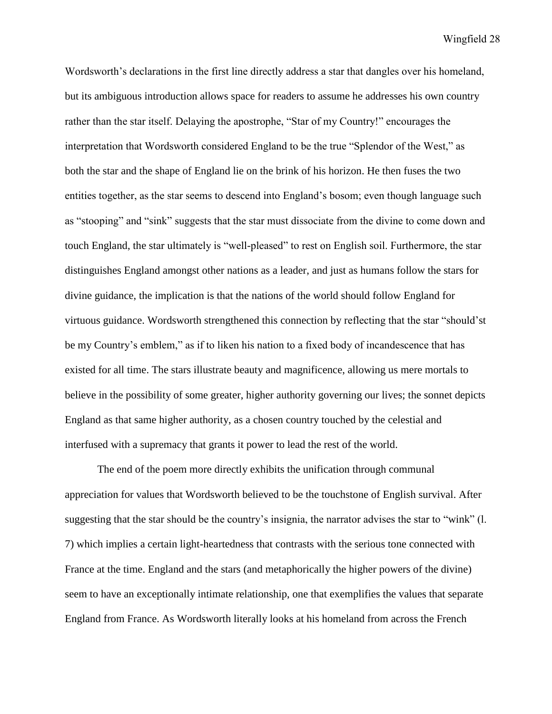Wordsworth's declarations in the first line directly address a star that dangles over his homeland, but its ambiguous introduction allows space for readers to assume he addresses his own country rather than the star itself. Delaying the apostrophe, "Star of my Country!" encourages the interpretation that Wordsworth considered England to be the true "Splendor of the West," as both the star and the shape of England lie on the brink of his horizon. He then fuses the two entities together, as the star seems to descend into England's bosom; even though language such as "stooping" and "sink" suggests that the star must dissociate from the divine to come down and touch England, the star ultimately is "well-pleased" to rest on English soil. Furthermore, the star distinguishes England amongst other nations as a leader, and just as humans follow the stars for divine guidance, the implication is that the nations of the world should follow England for virtuous guidance. Wordsworth strengthened this connection by reflecting that the star "should'st be my Country's emblem," as if to liken his nation to a fixed body of incandescence that has existed for all time. The stars illustrate beauty and magnificence, allowing us mere mortals to believe in the possibility of some greater, higher authority governing our lives; the sonnet depicts England as that same higher authority, as a chosen country touched by the celestial and interfused with a supremacy that grants it power to lead the rest of the world.

The end of the poem more directly exhibits the unification through communal appreciation for values that Wordsworth believed to be the touchstone of English survival. After suggesting that the star should be the country's insignia, the narrator advises the star to "wink" (l. 7) which implies a certain light-heartedness that contrasts with the serious tone connected with France at the time. England and the stars (and metaphorically the higher powers of the divine) seem to have an exceptionally intimate relationship, one that exemplifies the values that separate England from France. As Wordsworth literally looks at his homeland from across the French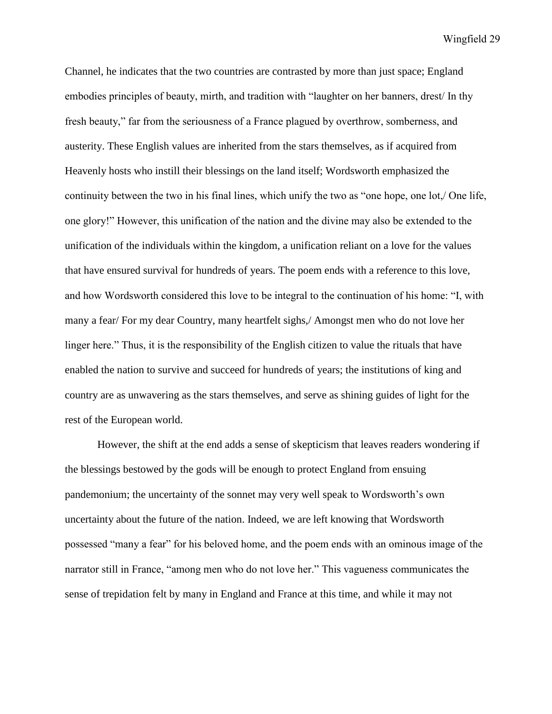Channel, he indicates that the two countries are contrasted by more than just space; England embodies principles of beauty, mirth, and tradition with "laughter on her banners, drest/ In thy fresh beauty," far from the seriousness of a France plagued by overthrow, somberness, and austerity. These English values are inherited from the stars themselves, as if acquired from Heavenly hosts who instill their blessings on the land itself; Wordsworth emphasized the continuity between the two in his final lines, which unify the two as "one hope, one lot,/ One life, one glory!" However, this unification of the nation and the divine may also be extended to the unification of the individuals within the kingdom, a unification reliant on a love for the values that have ensured survival for hundreds of years. The poem ends with a reference to this love, and how Wordsworth considered this love to be integral to the continuation of his home: "I, with many a fear/ For my dear Country, many heartfelt sighs,/ Amongst men who do not love her linger here." Thus, it is the responsibility of the English citizen to value the rituals that have enabled the nation to survive and succeed for hundreds of years; the institutions of king and country are as unwavering as the stars themselves, and serve as shining guides of light for the rest of the European world.

However, the shift at the end adds a sense of skepticism that leaves readers wondering if the blessings bestowed by the gods will be enough to protect England from ensuing pandemonium; the uncertainty of the sonnet may very well speak to Wordsworth's own uncertainty about the future of the nation. Indeed, we are left knowing that Wordsworth possessed "many a fear" for his beloved home, and the poem ends with an ominous image of the narrator still in France, "among men who do not love her." This vagueness communicates the sense of trepidation felt by many in England and France at this time, and while it may not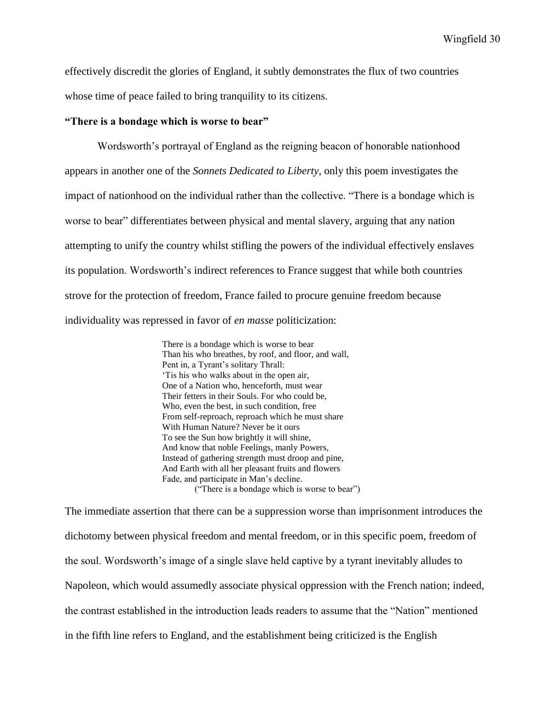effectively discredit the glories of England, it subtly demonstrates the flux of two countries whose time of peace failed to bring tranquility to its citizens.

#### **"There is a bondage which is worse to bear"**

Wordsworth's portrayal of England as the reigning beacon of honorable nationhood appears in another one of the *Sonnets Dedicated to Liberty*, only this poem investigates the impact of nationhood on the individual rather than the collective. "There is a bondage which is worse to bear" differentiates between physical and mental slavery, arguing that any nation attempting to unify the country whilst stifling the powers of the individual effectively enslaves its population. Wordsworth's indirect references to France suggest that while both countries strove for the protection of freedom, France failed to procure genuine freedom because individuality was repressed in favor of *en masse* politicization:

> There is a bondage which is worse to bear Than his who breathes, by roof, and floor, and wall, Pent in, a Tyrant's solitary Thrall: 'Tis his who walks about in the open air, One of a Nation who, henceforth, must wear Their fetters in their Souls. For who could be, Who, even the best, in such condition, free From self-reproach, reproach which he must share With Human Nature? Never be it ours To see the Sun how brightly it will shine, And know that noble Feelings, manly Powers, Instead of gathering strength must droop and pine, And Earth with all her pleasant fruits and flowers Fade, and participate in Man's decline. ("There is a bondage which is worse to bear")

The immediate assertion that there can be a suppression worse than imprisonment introduces the dichotomy between physical freedom and mental freedom, or in this specific poem, freedom of the soul. Wordsworth's image of a single slave held captive by a tyrant inevitably alludes to Napoleon, which would assumedly associate physical oppression with the French nation; indeed, the contrast established in the introduction leads readers to assume that the "Nation" mentioned in the fifth line refers to England, and the establishment being criticized is the English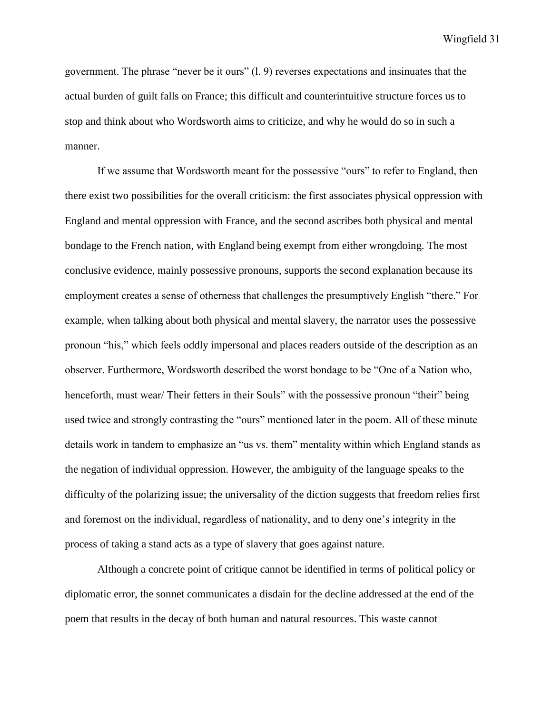government. The phrase "never be it ours" (l. 9) reverses expectations and insinuates that the actual burden of guilt falls on France; this difficult and counterintuitive structure forces us to stop and think about who Wordsworth aims to criticize, and why he would do so in such a manner.

If we assume that Wordsworth meant for the possessive "ours" to refer to England, then there exist two possibilities for the overall criticism: the first associates physical oppression with England and mental oppression with France, and the second ascribes both physical and mental bondage to the French nation, with England being exempt from either wrongdoing. The most conclusive evidence, mainly possessive pronouns, supports the second explanation because its employment creates a sense of otherness that challenges the presumptively English "there." For example, when talking about both physical and mental slavery, the narrator uses the possessive pronoun "his," which feels oddly impersonal and places readers outside of the description as an observer. Furthermore, Wordsworth described the worst bondage to be "One of a Nation who, henceforth, must wear/ Their fetters in their Souls" with the possessive pronoun "their" being used twice and strongly contrasting the "ours" mentioned later in the poem. All of these minute details work in tandem to emphasize an "us vs. them" mentality within which England stands as the negation of individual oppression. However, the ambiguity of the language speaks to the difficulty of the polarizing issue; the universality of the diction suggests that freedom relies first and foremost on the individual, regardless of nationality, and to deny one's integrity in the process of taking a stand acts as a type of slavery that goes against nature.

Although a concrete point of critique cannot be identified in terms of political policy or diplomatic error, the sonnet communicates a disdain for the decline addressed at the end of the poem that results in the decay of both human and natural resources. This waste cannot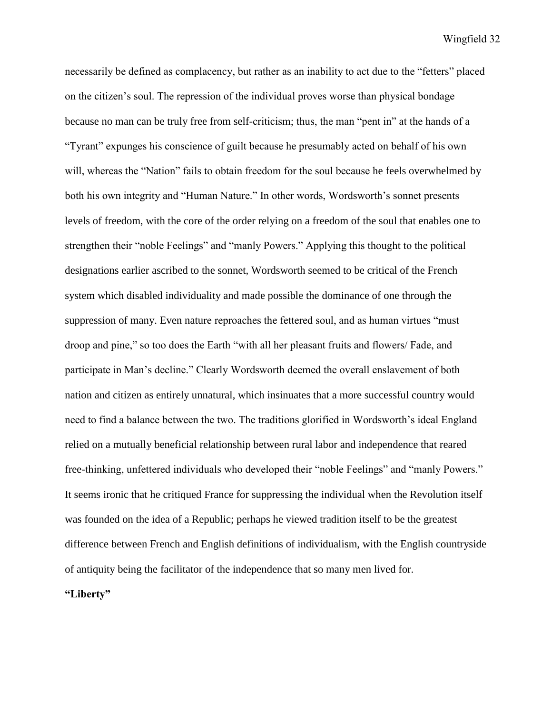necessarily be defined as complacency, but rather as an inability to act due to the "fetters" placed on the citizen's soul. The repression of the individual proves worse than physical bondage because no man can be truly free from self-criticism; thus, the man "pent in" at the hands of a "Tyrant" expunges his conscience of guilt because he presumably acted on behalf of his own will, whereas the "Nation" fails to obtain freedom for the soul because he feels overwhelmed by both his own integrity and "Human Nature." In other words, Wordsworth's sonnet presents levels of freedom, with the core of the order relying on a freedom of the soul that enables one to strengthen their "noble Feelings" and "manly Powers." Applying this thought to the political designations earlier ascribed to the sonnet, Wordsworth seemed to be critical of the French system which disabled individuality and made possible the dominance of one through the suppression of many. Even nature reproaches the fettered soul, and as human virtues "must droop and pine," so too does the Earth "with all her pleasant fruits and flowers/ Fade, and participate in Man's decline." Clearly Wordsworth deemed the overall enslavement of both nation and citizen as entirely unnatural, which insinuates that a more successful country would need to find a balance between the two. The traditions glorified in Wordsworth's ideal England relied on a mutually beneficial relationship between rural labor and independence that reared free-thinking, unfettered individuals who developed their "noble Feelings" and "manly Powers." It seems ironic that he critiqued France for suppressing the individual when the Revolution itself was founded on the idea of a Republic; perhaps he viewed tradition itself to be the greatest difference between French and English definitions of individualism, with the English countryside of antiquity being the facilitator of the independence that so many men lived for.

**"Liberty"**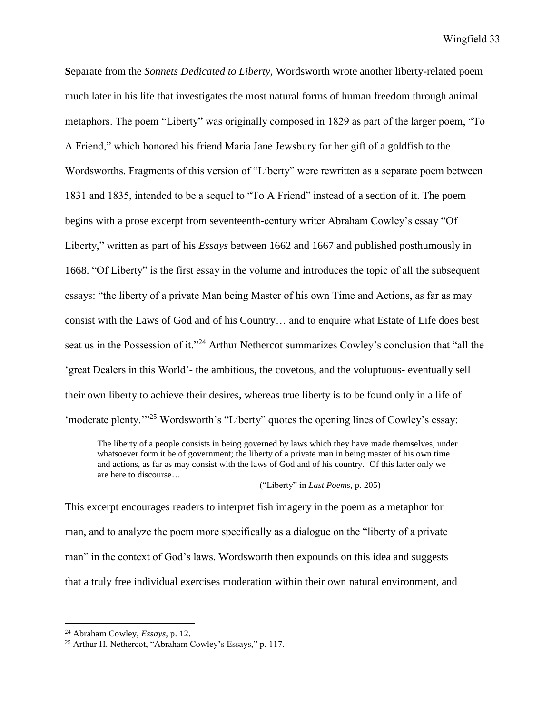**S**eparate from the *Sonnets Dedicated to Liberty,* Wordsworth wrote another liberty-related poem much later in his life that investigates the most natural forms of human freedom through animal metaphors. The poem "Liberty" was originally composed in 1829 as part of the larger poem, "To A Friend," which honored his friend Maria Jane Jewsbury for her gift of a goldfish to the Wordsworths. Fragments of this version of "Liberty" were rewritten as a separate poem between 1831 and 1835, intended to be a sequel to "To A Friend" instead of a section of it. The poem begins with a prose excerpt from seventeenth-century writer Abraham Cowley's essay "Of Liberty," written as part of his *Essays* between 1662 and 1667 and published posthumously in 1668. "Of Liberty" is the first essay in the volume and introduces the topic of all the subsequent essays: "the liberty of a private Man being Master of his own Time and Actions, as far as may consist with the Laws of God and of his Country… and to enquire what Estate of Life does best seat us in the Possession of it."<sup>24</sup> Arthur Nethercot summarizes Cowley's conclusion that "all the 'great Dealers in this World'- the ambitious, the covetous, and the voluptuous- eventually sell their own liberty to achieve their desires, whereas true liberty is to be found only in a life of 'moderate plenty.'"<sup>25</sup> Wordsworth's "Liberty" quotes the opening lines of Cowley's essay:

The liberty of a people consists in being governed by laws which they have made themselves, under whatsoever form it be of government; the liberty of a private man in being master of his own time and actions, as far as may consist with the laws of God and of his country. Of this latter only we are here to discourse…

("Liberty" in *Last Poems,* p. 205)

This excerpt encourages readers to interpret fish imagery in the poem as a metaphor for man, and to analyze the poem more specifically as a dialogue on the "liberty of a private man" in the context of God's laws. Wordsworth then expounds on this idea and suggests that a truly free individual exercises moderation within their own natural environment, and

<sup>24</sup> Abraham Cowley, *Essays,* p. 12.

<sup>25</sup> Arthur H. Nethercot, "Abraham Cowley's Essays," p. 117.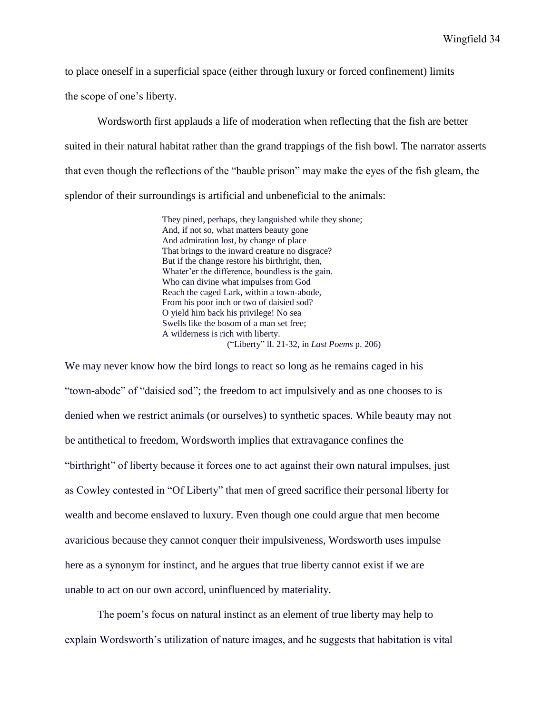to place oneself in a superficial space (either through luxury or forced confinement) limits

the scope of one's liberty.

Wordsworth first applauds a life of moderation when reflecting that the fish are better suited in their natural habitat rather than the grand trappings of the fish bowl. The narrator asserts that even though the reflections of the "bauble prison" may make the eyes of the fish gleam, the splendor of their surroundings is artificial and unbeneficial to the animals:

> They pined, perhaps, they languished while they shone; And, if not so, what matters beauty gone And admiration lost, by change of place That brings to the inward creature no disgrace? But if the change restore his birthright, then, Whater'er the difference, boundless is the gain. Who can divine what impulses from God Reach the caged Lark, within a town-abode, From his poor inch or two of daisied sod? O yield him back his privilege! No sea Swells like the bosom of a man set free; A wilderness is rich with liberty. ("Liberty" ll. 21-32, in *Last Poems* p. 206)

We may never know how the bird longs to react so long as he remains caged in his "town-abode" of "daisied sod"; the freedom to act impulsively and as one chooses to is denied when we restrict animals (or ourselves) to synthetic spaces. While beauty may not be antithetical to freedom, Wordsworth implies that extravagance confines the "birthright" of liberty because it forces one to act against their own natural impulses, just as Cowley contested in "Of Liberty" that men of greed sacrifice their personal liberty for wealth and become enslaved to luxury. Even though one could argue that men become avaricious because they cannot conquer their impulsiveness, Wordsworth uses impulse here as a synonym for instinct, and he argues that true liberty cannot exist if we are unable to act on our own accord, uninfluenced by materiality.

The poem's focus on natural instinct as an element of true liberty may help to explain Wordsworth's utilization of nature images, and he suggests that habitation is vital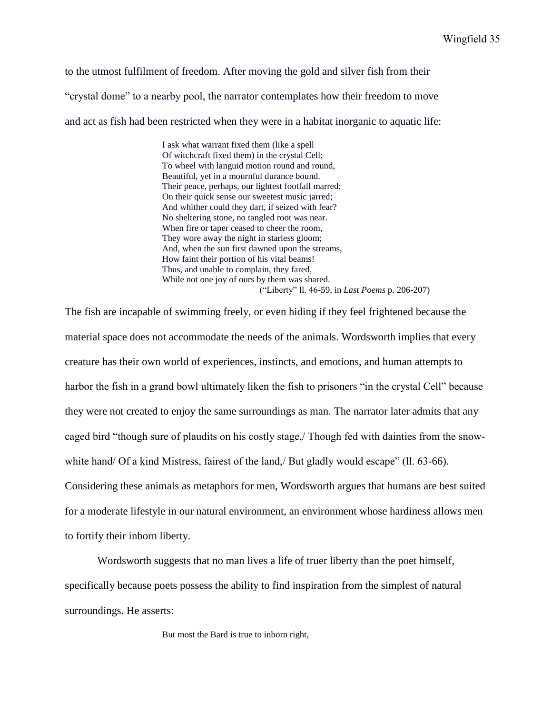to the utmost fulfilment of freedom. After moving the gold and silver fish from their "crystal dome" to a nearby pool, the narrator contemplates how their freedom to move and act as fish had been restricted when they were in a habitat inorganic to aquatic life:

> I ask what warrant fixed them (like a spell Of witchcraft fixed them) in the crystal Cell; To wheel with languid motion round and round, Beautiful, yet in a mournful durance bound. Their peace, perhaps, our lightest footfall marred; On their quick sense our sweetest music jarred; And whither could they dart, if seized with fear? No sheltering stone, no tangled root was near. When fire or taper ceased to cheer the room, They wore away the night in starless gloom; And, when the sun first dawned upon the streams, How faint their portion of his vital beams! Thus, and unable to complain, they fared, While not one joy of ours by them was shared. ("Liberty" ll. 46-59, in *Last Poems* p. 206-207)

The fish are incapable of swimming freely, or even hiding if they feel frightened because the material space does not accommodate the needs of the animals. Wordsworth implies that every creature has their own world of experiences, instincts, and emotions, and human attempts to harbor the fish in a grand bowl ultimately liken the fish to prisoners "in the crystal Cell" because they were not created to enjoy the same surroundings as man. The narrator later admits that any caged bird "though sure of plaudits on his costly stage,/ Though fed with dainties from the snowwhite hand/ Of a kind Mistress, fairest of the land, But gladly would escape" (11. 63-66). Considering these animals as metaphors for men, Wordsworth argues that humans are best suited for a moderate lifestyle in our natural environment, an environment whose hardiness allows men to fortify their inborn liberty.

Wordsworth suggests that no man lives a life of truer liberty than the poet himself, specifically because poets possess the ability to find inspiration from the simplest of natural surroundings. He asserts:

But most the Bard is true to inborn right,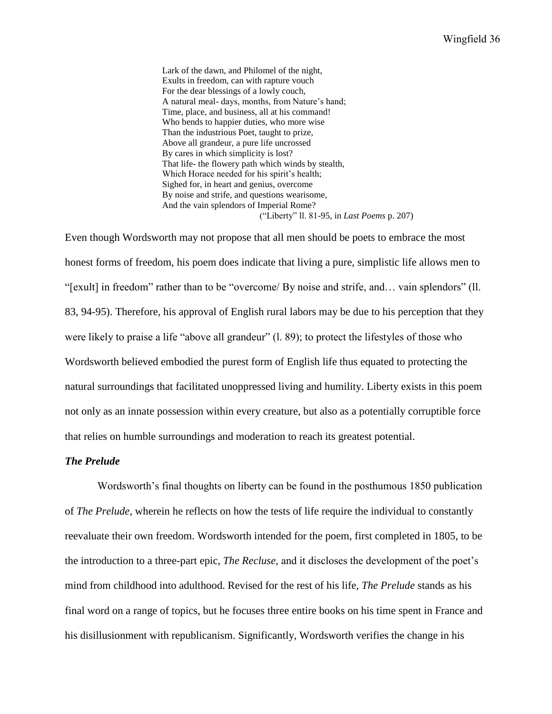Lark of the dawn, and Philomel of the night, Exults in freedom, can with rapture vouch For the dear blessings of a lowly couch, A natural meal- days, months, from Nature's hand; Time, place, and business, all at his command! Who bends to happier duties, who more wise Than the industrious Poet, taught to prize, Above all grandeur, a pure life uncrossed By cares in which simplicity is lost? That life- the flowery path which winds by stealth, Which Horace needed for his spirit's health; Sighed for, in heart and genius, overcome By noise and strife, and questions wearisome, And the vain splendors of Imperial Rome? ("Liberty" ll. 81-95, in *Last Poems* p. 207)

Even though Wordsworth may not propose that all men should be poets to embrace the most honest forms of freedom, his poem does indicate that living a pure, simplistic life allows men to "[exult] in freedom" rather than to be "overcome/ By noise and strife, and… vain splendors" (ll. 83, 94-95). Therefore, his approval of English rural labors may be due to his perception that they were likely to praise a life "above all grandeur" (1. 89); to protect the lifestyles of those who Wordsworth believed embodied the purest form of English life thus equated to protecting the natural surroundings that facilitated unoppressed living and humility. Liberty exists in this poem not only as an innate possession within every creature, but also as a potentially corruptible force that relies on humble surroundings and moderation to reach its greatest potential.

## *The Prelude*

Wordsworth's final thoughts on liberty can be found in the posthumous 1850 publication of *The Prelude,* wherein he reflects on how the tests of life require the individual to constantly reevaluate their own freedom. Wordsworth intended for the poem, first completed in 1805, to be the introduction to a three-part epic, *The Recluse,* and it discloses the development of the poet's mind from childhood into adulthood. Revised for the rest of his life, *The Prelude* stands as his final word on a range of topics, but he focuses three entire books on his time spent in France and his disillusionment with republicanism. Significantly, Wordsworth verifies the change in his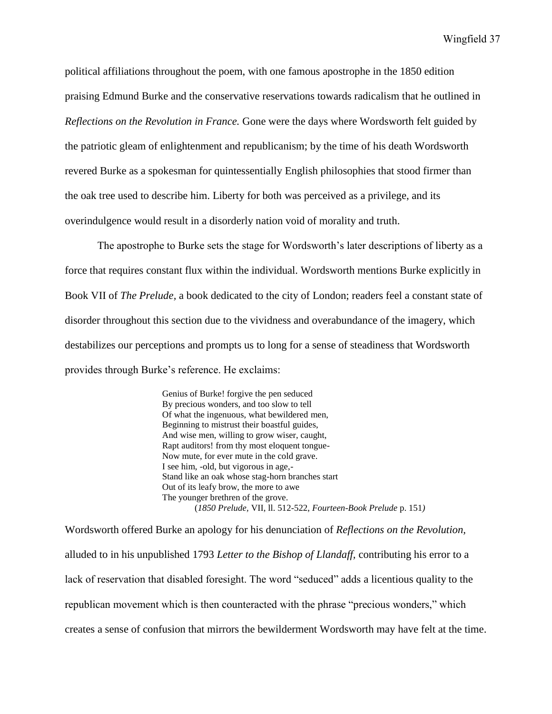political affiliations throughout the poem, with one famous apostrophe in the 1850 edition praising Edmund Burke and the conservative reservations towards radicalism that he outlined in *Reflections on the Revolution in France.* Gone were the days where Wordsworth felt guided by the patriotic gleam of enlightenment and republicanism; by the time of his death Wordsworth revered Burke as a spokesman for quintessentially English philosophies that stood firmer than the oak tree used to describe him. Liberty for both was perceived as a privilege, and its overindulgence would result in a disorderly nation void of morality and truth.

The apostrophe to Burke sets the stage for Wordsworth's later descriptions of liberty as a force that requires constant flux within the individual. Wordsworth mentions Burke explicitly in Book VII of *The Prelude,* a book dedicated to the city of London; readers feel a constant state of disorder throughout this section due to the vividness and overabundance of the imagery, which destabilizes our perceptions and prompts us to long for a sense of steadiness that Wordsworth provides through Burke's reference. He exclaims:

> Genius of Burke! forgive the pen seduced By precious wonders, and too slow to tell Of what the ingenuous, what bewildered men, Beginning to mistrust their boastful guides, And wise men, willing to grow wiser, caught, Rapt auditors! from thy most eloquent tongue-Now mute, for ever mute in the cold grave. I see him, -old, but vigorous in age,- Stand like an oak whose stag-horn branches start Out of its leafy brow, the more to awe The younger brethren of the grove. (*1850 Prelude,* VII, ll. 512-522, *Fourteen-Book Prelude* p. 151*)*

Wordsworth offered Burke an apology for his denunciation of *Reflections on the Revolution,*  alluded to in his unpublished 1793 *Letter to the Bishop of Llandaff,* contributing his error to a lack of reservation that disabled foresight. The word "seduced" adds a licentious quality to the republican movement which is then counteracted with the phrase "precious wonders," which creates a sense of confusion that mirrors the bewilderment Wordsworth may have felt at the time.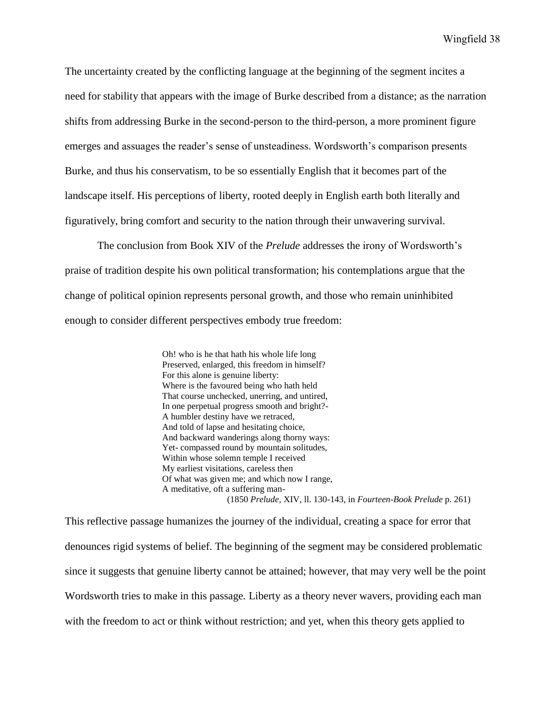The uncertainty created by the conflicting language at the beginning of the segment incites a need for stability that appears with the image of Burke described from a distance; as the narration shifts from addressing Burke in the second-person to the third-person, a more prominent figure emerges and assuages the reader's sense of unsteadiness. Wordsworth's comparison presents Burke, and thus his conservatism, to be so essentially English that it becomes part of the landscape itself. His perceptions of liberty, rooted deeply in English earth both literally and figuratively, bring comfort and security to the nation through their unwavering survival.

The conclusion from Book XIV of the *Prelude* addresses the irony of Wordsworth's praise of tradition despite his own political transformation; his contemplations argue that the change of political opinion represents personal growth, and those who remain uninhibited enough to consider different perspectives embody true freedom:

> Oh! who is he that hath his whole life long Preserved, enlarged, this freedom in himself? For this alone is genuine liberty: Where is the favoured being who hath held That course unchecked, unerring, and untired, In one perpetual progress smooth and bright?- A humbler destiny have we retraced, And told of lapse and hesitating choice, And backward wanderings along thorny ways: Yet- compassed round by mountain solitudes, Within whose solemn temple I received My earliest visitations, careless then Of what was given me; and which now I range, A meditative, oft a suffering man- (1850 *Prelude,* XIV, ll. 130-143, in *Fourteen-Book Prelude* p. 261)

This reflective passage humanizes the journey of the individual, creating a space for error that denounces rigid systems of belief. The beginning of the segment may be considered problematic since it suggests that genuine liberty cannot be attained; however, that may very well be the point Wordsworth tries to make in this passage*.* Liberty as a theory never wavers, providing each man with the freedom to act or think without restriction; and yet, when this theory gets applied to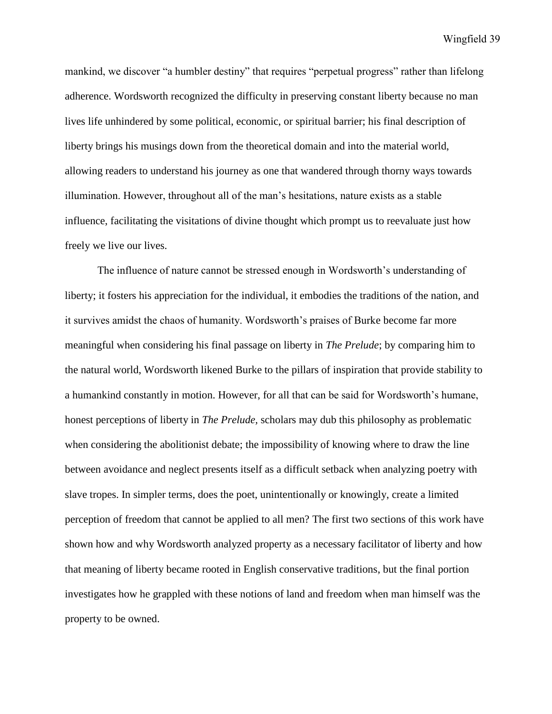mankind, we discover "a humbler destiny" that requires "perpetual progress" rather than lifelong adherence. Wordsworth recognized the difficulty in preserving constant liberty because no man lives life unhindered by some political, economic, or spiritual barrier; his final description of liberty brings his musings down from the theoretical domain and into the material world, allowing readers to understand his journey as one that wandered through thorny ways towards illumination. However, throughout all of the man's hesitations, nature exists as a stable influence, facilitating the visitations of divine thought which prompt us to reevaluate just how freely we live our lives.

The influence of nature cannot be stressed enough in Wordsworth's understanding of liberty; it fosters his appreciation for the individual, it embodies the traditions of the nation, and it survives amidst the chaos of humanity. Wordsworth's praises of Burke become far more meaningful when considering his final passage on liberty in *The Prelude*; by comparing him to the natural world, Wordsworth likened Burke to the pillars of inspiration that provide stability to a humankind constantly in motion. However, for all that can be said for Wordsworth's humane, honest perceptions of liberty in *The Prelude,* scholars may dub this philosophy as problematic when considering the abolitionist debate; the impossibility of knowing where to draw the line between avoidance and neglect presents itself as a difficult setback when analyzing poetry with slave tropes. In simpler terms, does the poet, unintentionally or knowingly, create a limited perception of freedom that cannot be applied to all men? The first two sections of this work have shown how and why Wordsworth analyzed property as a necessary facilitator of liberty and how that meaning of liberty became rooted in English conservative traditions, but the final portion investigates how he grappled with these notions of land and freedom when man himself was the property to be owned.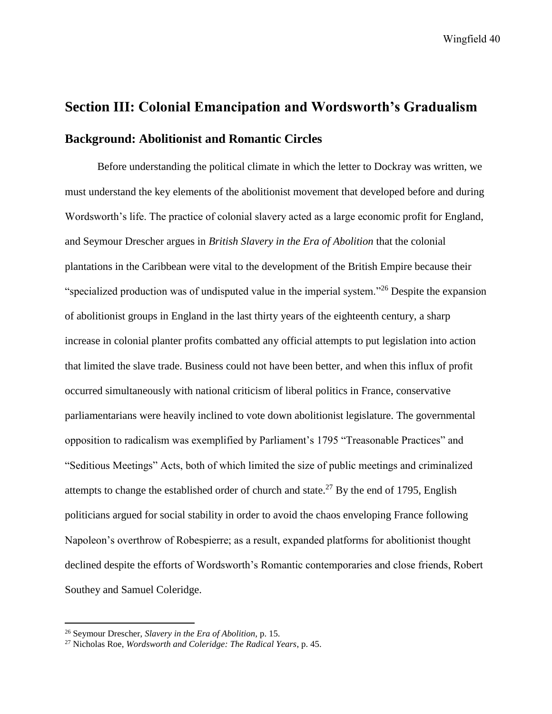# **Section III: Colonial Emancipation and Wordsworth's Gradualism Background: Abolitionist and Romantic Circles**

Before understanding the political climate in which the letter to Dockray was written, we must understand the key elements of the abolitionist movement that developed before and during Wordsworth's life. The practice of colonial slavery acted as a large economic profit for England, and Seymour Drescher argues in *British Slavery in the Era of Abolition* that the colonial plantations in the Caribbean were vital to the development of the British Empire because their "specialized production was of undisputed value in the imperial system."<sup>26</sup> Despite the expansion of abolitionist groups in England in the last thirty years of the eighteenth century, a sharp increase in colonial planter profits combatted any official attempts to put legislation into action that limited the slave trade. Business could not have been better, and when this influx of profit occurred simultaneously with national criticism of liberal politics in France, conservative parliamentarians were heavily inclined to vote down abolitionist legislature. The governmental opposition to radicalism was exemplified by Parliament's 1795 "Treasonable Practices" and "Seditious Meetings" Acts, both of which limited the size of public meetings and criminalized attempts to change the established order of church and state.<sup>27</sup> By the end of 1795, English politicians argued for social stability in order to avoid the chaos enveloping France following Napoleon's overthrow of Robespierre; as a result, expanded platforms for abolitionist thought declined despite the efforts of Wordsworth's Romantic contemporaries and close friends, Robert Southey and Samuel Coleridge.

<sup>26</sup> Seymour Drescher, *Slavery in the Era of Abolition,* p. 15.

<sup>27</sup> Nicholas Roe, *Wordsworth and Coleridge: The Radical Years*, p. 45.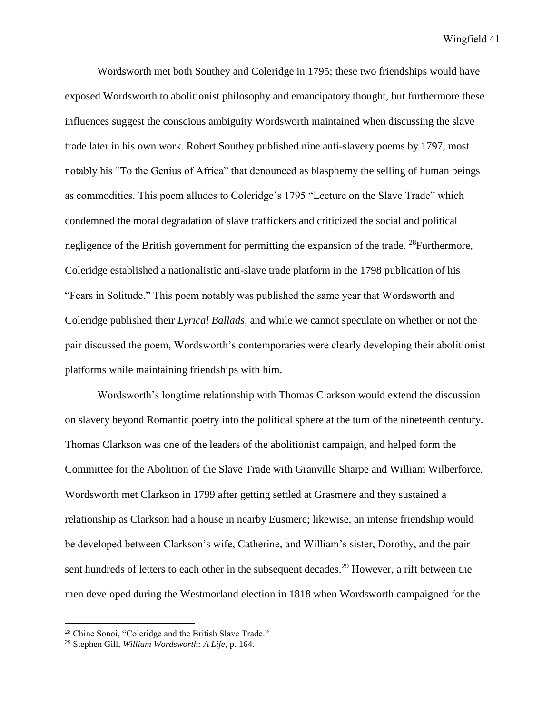Wordsworth met both Southey and Coleridge in 1795; these two friendships would have exposed Wordsworth to abolitionist philosophy and emancipatory thought, but furthermore these influences suggest the conscious ambiguity Wordsworth maintained when discussing the slave trade later in his own work. Robert Southey published nine anti-slavery poems by 1797, most notably his "To the Genius of Africa" that denounced as blasphemy the selling of human beings as commodities. This poem alludes to Coleridge's 1795 "Lecture on the Slave Trade" which condemned the moral degradation of slave traffickers and criticized the social and political negligence of the British government for permitting the expansion of the trade. <sup>28</sup>Furthermore, Coleridge established a nationalistic anti-slave trade platform in the 1798 publication of his "Fears in Solitude." This poem notably was published the same year that Wordsworth and Coleridge published their *Lyrical Ballads,* and while we cannot speculate on whether or not the pair discussed the poem, Wordsworth's contemporaries were clearly developing their abolitionist platforms while maintaining friendships with him.

Wordsworth's longtime relationship with Thomas Clarkson would extend the discussion on slavery beyond Romantic poetry into the political sphere at the turn of the nineteenth century. Thomas Clarkson was one of the leaders of the abolitionist campaign, and helped form the Committee for the Abolition of the Slave Trade with Granville Sharpe and William Wilberforce. Wordsworth met Clarkson in 1799 after getting settled at Grasmere and they sustained a relationship as Clarkson had a house in nearby Eusmere; likewise, an intense friendship would be developed between Clarkson's wife, Catherine, and William's sister, Dorothy, and the pair sent hundreds of letters to each other in the subsequent decades.<sup>29</sup> However, a rift between the men developed during the Westmorland election in 1818 when Wordsworth campaigned for the

<sup>28</sup> Chine Sonoi, "Coleridge and the British Slave Trade."

<sup>29</sup> Stephen Gill, *William Wordsworth: A Life,* p. 164.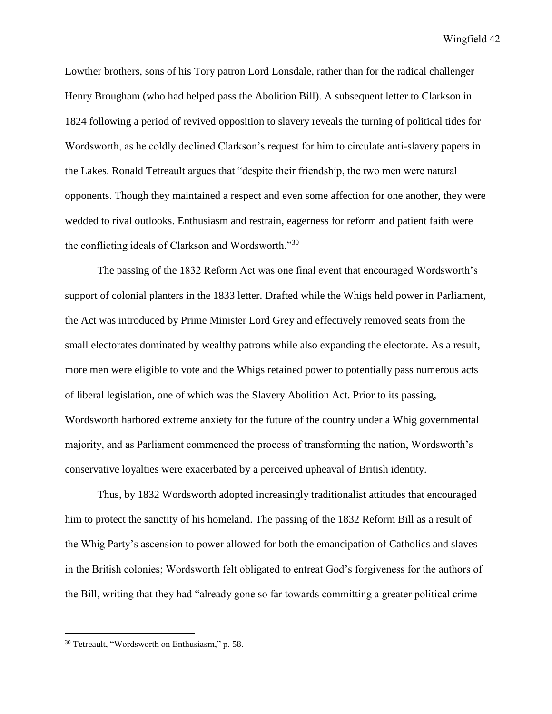Lowther brothers, sons of his Tory patron Lord Lonsdale, rather than for the radical challenger Henry Brougham (who had helped pass the Abolition Bill). A subsequent letter to Clarkson in 1824 following a period of revived opposition to slavery reveals the turning of political tides for Wordsworth, as he coldly declined Clarkson's request for him to circulate anti-slavery papers in the Lakes. Ronald Tetreault argues that "despite their friendship, the two men were natural opponents. Though they maintained a respect and even some affection for one another, they were wedded to rival outlooks. Enthusiasm and restrain, eagerness for reform and patient faith were the conflicting ideals of Clarkson and Wordsworth."<sup>30</sup>

The passing of the 1832 Reform Act was one final event that encouraged Wordsworth's support of colonial planters in the 1833 letter. Drafted while the Whigs held power in Parliament, the Act was introduced by Prime Minister Lord Grey and effectively removed seats from the small electorates dominated by wealthy patrons while also expanding the electorate. As a result, more men were eligible to vote and the Whigs retained power to potentially pass numerous acts of liberal legislation, one of which was the Slavery Abolition Act. Prior to its passing, Wordsworth harbored extreme anxiety for the future of the country under a Whig governmental majority, and as Parliament commenced the process of transforming the nation, Wordsworth's conservative loyalties were exacerbated by a perceived upheaval of British identity.

Thus, by 1832 Wordsworth adopted increasingly traditionalist attitudes that encouraged him to protect the sanctity of his homeland. The passing of the 1832 Reform Bill as a result of the Whig Party's ascension to power allowed for both the emancipation of Catholics and slaves in the British colonies; Wordsworth felt obligated to entreat God's forgiveness for the authors of the Bill, writing that they had "already gone so far towards committing a greater political crime

<sup>30</sup> Tetreault, "Wordsworth on Enthusiasm," p. 58.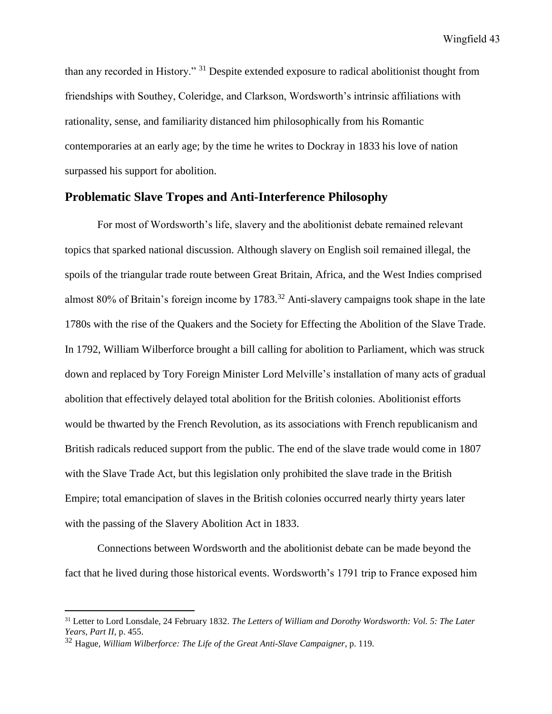than any recorded in History." <sup>31</sup> Despite extended exposure to radical abolitionist thought from friendships with Southey, Coleridge, and Clarkson, Wordsworth's intrinsic affiliations with rationality, sense, and familiarity distanced him philosophically from his Romantic contemporaries at an early age; by the time he writes to Dockray in 1833 his love of nation surpassed his support for abolition.

## **Problematic Slave Tropes and Anti-Interference Philosophy**

For most of Wordsworth's life, slavery and the abolitionist debate remained relevant topics that sparked national discussion. Although slavery on English soil remained illegal, the spoils of the triangular trade route between Great Britain, Africa, and the West Indies comprised almost 80% of Britain's foreign income by 1783. <sup>32</sup> Anti-slavery campaigns took shape in the late 1780s with the rise of the Quakers and the Society for Effecting the Abolition of the Slave Trade. In 1792, William Wilberforce brought a bill calling for abolition to Parliament, which was struck down and replaced by Tory Foreign Minister Lord Melville's installation of many acts of gradual abolition that effectively delayed total abolition for the British colonies. Abolitionist efforts would be thwarted by the French Revolution, as its associations with French republicanism and British radicals reduced support from the public. The end of the slave trade would come in 1807 with the Slave Trade Act, but this legislation only prohibited the slave trade in the British Empire; total emancipation of slaves in the British colonies occurred nearly thirty years later with the passing of the Slavery Abolition Act in 1833.

Connections between Wordsworth and the abolitionist debate can be made beyond the fact that he lived during those historical events. Wordsworth's 1791 trip to France exposed him

<sup>31</sup> Letter to Lord Lonsdale, 24 February 1832. *The Letters of William and Dorothy Wordsworth: Vol. 5: The Later Years, Part II,* p. 455.

<sup>32</sup> Hague, *William Wilberforce: The Life of the Great Anti-Slave Campaigner,* p. 119.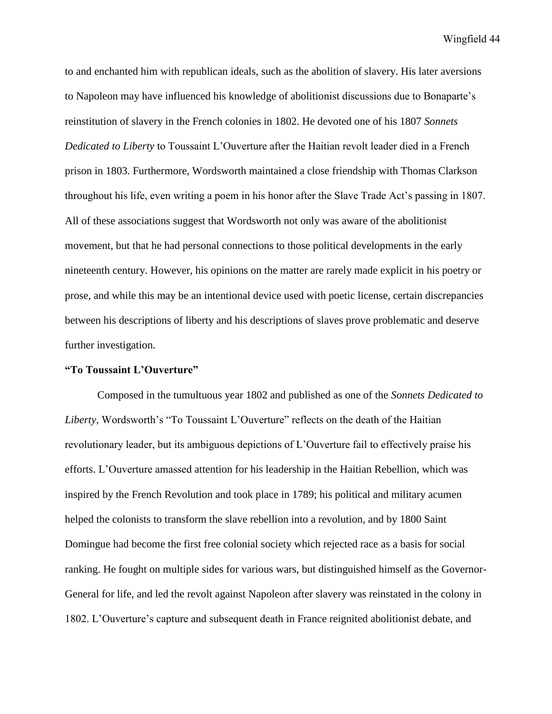to and enchanted him with republican ideals, such as the abolition of slavery. His later aversions to Napoleon may have influenced his knowledge of abolitionist discussions due to Bonaparte's reinstitution of slavery in the French colonies in 1802. He devoted one of his 1807 *Sonnets Dedicated to Liberty* to Toussaint L'Ouverture after the Haitian revolt leader died in a French prison in 1803. Furthermore, Wordsworth maintained a close friendship with Thomas Clarkson throughout his life, even writing a poem in his honor after the Slave Trade Act's passing in 1807. All of these associations suggest that Wordsworth not only was aware of the abolitionist movement, but that he had personal connections to those political developments in the early nineteenth century. However, his opinions on the matter are rarely made explicit in his poetry or prose, and while this may be an intentional device used with poetic license, certain discrepancies between his descriptions of liberty and his descriptions of slaves prove problematic and deserve further investigation.

## **"To Toussaint L'Ouverture"**

Composed in the tumultuous year 1802 and published as one of the *Sonnets Dedicated to Liberty*, Wordsworth's "To Toussaint L'Ouverture" reflects on the death of the Haitian revolutionary leader, but its ambiguous depictions of L'Ouverture fail to effectively praise his efforts. L'Ouverture amassed attention for his leadership in the Haitian Rebellion, which was inspired by the French Revolution and took place in 1789; his political and military acumen helped the colonists to transform the slave rebellion into a revolution, and by 1800 Saint Domingue had become the first free colonial society which rejected race as a basis for social ranking. He fought on multiple sides for various wars, but distinguished himself as the Governor-General for life, and led the revolt against Napoleon after slavery was reinstated in the colony in 1802. L'Ouverture's capture and subsequent death in France reignited abolitionist debate, and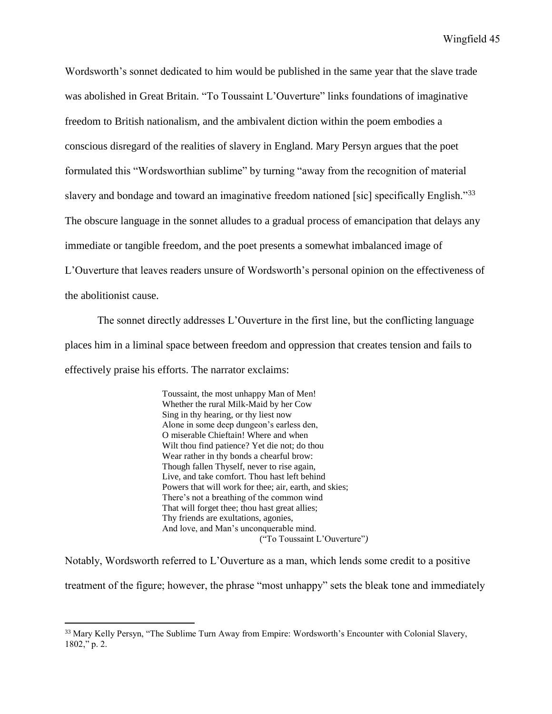Wordsworth's sonnet dedicated to him would be published in the same year that the slave trade was abolished in Great Britain. "To Toussaint L'Ouverture" links foundations of imaginative freedom to British nationalism, and the ambivalent diction within the poem embodies a conscious disregard of the realities of slavery in England. Mary Persyn argues that the poet formulated this "Wordsworthian sublime" by turning "away from the recognition of material slavery and bondage and toward an imaginative freedom nationed [sic] specifically English."33 The obscure language in the sonnet alludes to a gradual process of emancipation that delays any immediate or tangible freedom, and the poet presents a somewhat imbalanced image of L'Ouverture that leaves readers unsure of Wordsworth's personal opinion on the effectiveness of the abolitionist cause.

The sonnet directly addresses L'Ouverture in the first line, but the conflicting language places him in a liminal space between freedom and oppression that creates tension and fails to effectively praise his efforts. The narrator exclaims:

> Toussaint, the most unhappy Man of Men! Whether the rural Milk-Maid by her Cow Sing in thy hearing, or thy liest now Alone in some deep dungeon's earless den, O miserable Chieftain! Where and when Wilt thou find patience? Yet die not; do thou Wear rather in thy bonds a chearful brow: Though fallen Thyself, never to rise again, Live, and take comfort. Thou hast left behind Powers that will work for thee; air, earth, and skies; There's not a breathing of the common wind That will forget thee; thou hast great allies; Thy friends are exultations, agonies, And love, and Man's unconquerable mind. ("To Toussaint L'Ouverture"*)*

Notably, Wordsworth referred to L'Ouverture as a man, which lends some credit to a positive treatment of the figure; however, the phrase "most unhappy" sets the bleak tone and immediately

<sup>&</sup>lt;sup>33</sup> Mary Kelly Persyn, "The Sublime Turn Away from Empire: Wordsworth's Encounter with Colonial Slavery, 1802," p. 2.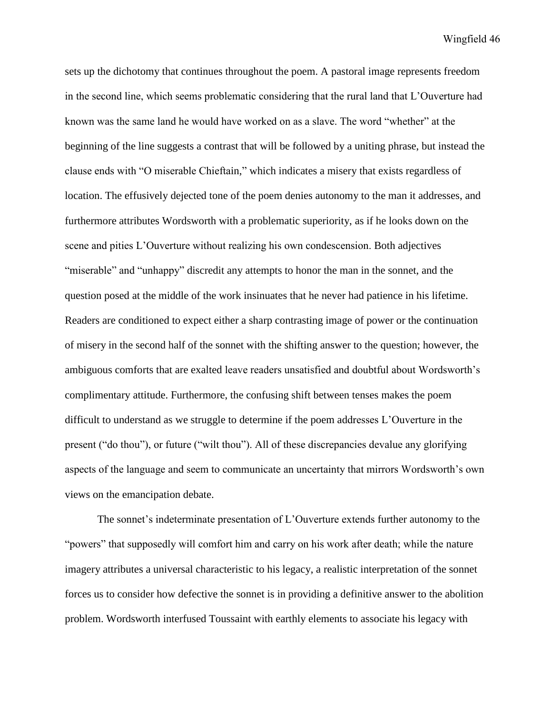sets up the dichotomy that continues throughout the poem. A pastoral image represents freedom in the second line, which seems problematic considering that the rural land that L'Ouverture had known was the same land he would have worked on as a slave. The word "whether" at the beginning of the line suggests a contrast that will be followed by a uniting phrase, but instead the clause ends with "O miserable Chieftain," which indicates a misery that exists regardless of location. The effusively dejected tone of the poem denies autonomy to the man it addresses, and furthermore attributes Wordsworth with a problematic superiority, as if he looks down on the scene and pities L'Ouverture without realizing his own condescension. Both adjectives "miserable" and "unhappy" discredit any attempts to honor the man in the sonnet, and the question posed at the middle of the work insinuates that he never had patience in his lifetime. Readers are conditioned to expect either a sharp contrasting image of power or the continuation of misery in the second half of the sonnet with the shifting answer to the question; however, the ambiguous comforts that are exalted leave readers unsatisfied and doubtful about Wordsworth's complimentary attitude. Furthermore, the confusing shift between tenses makes the poem difficult to understand as we struggle to determine if the poem addresses L'Ouverture in the present ("do thou"), or future ("wilt thou"). All of these discrepancies devalue any glorifying aspects of the language and seem to communicate an uncertainty that mirrors Wordsworth's own views on the emancipation debate.

The sonnet's indeterminate presentation of L'Ouverture extends further autonomy to the "powers" that supposedly will comfort him and carry on his work after death; while the nature imagery attributes a universal characteristic to his legacy, a realistic interpretation of the sonnet forces us to consider how defective the sonnet is in providing a definitive answer to the abolition problem. Wordsworth interfused Toussaint with earthly elements to associate his legacy with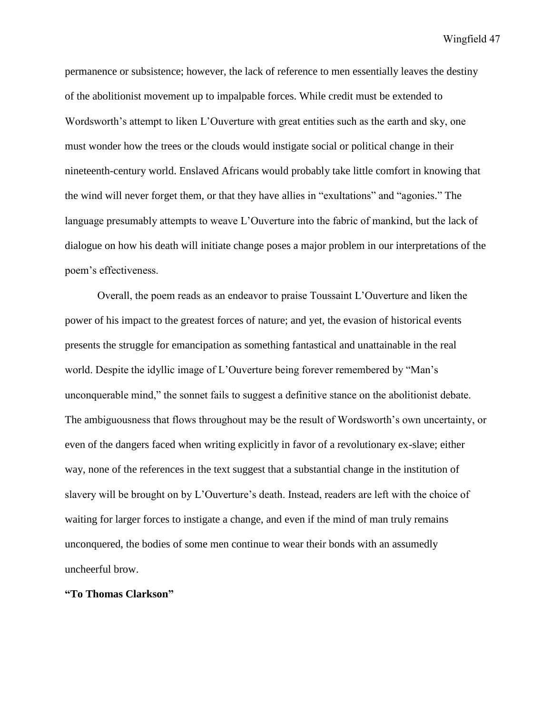permanence or subsistence; however, the lack of reference to men essentially leaves the destiny of the abolitionist movement up to impalpable forces. While credit must be extended to Wordsworth's attempt to liken L'Ouverture with great entities such as the earth and sky, one must wonder how the trees or the clouds would instigate social or political change in their nineteenth-century world. Enslaved Africans would probably take little comfort in knowing that the wind will never forget them, or that they have allies in "exultations" and "agonies." The language presumably attempts to weave L'Ouverture into the fabric of mankind, but the lack of dialogue on how his death will initiate change poses a major problem in our interpretations of the poem's effectiveness.

Overall, the poem reads as an endeavor to praise Toussaint L'Ouverture and liken the power of his impact to the greatest forces of nature; and yet, the evasion of historical events presents the struggle for emancipation as something fantastical and unattainable in the real world. Despite the idyllic image of L'Ouverture being forever remembered by "Man's unconquerable mind," the sonnet fails to suggest a definitive stance on the abolitionist debate. The ambiguousness that flows throughout may be the result of Wordsworth's own uncertainty, or even of the dangers faced when writing explicitly in favor of a revolutionary ex-slave; either way, none of the references in the text suggest that a substantial change in the institution of slavery will be brought on by L'Ouverture's death. Instead, readers are left with the choice of waiting for larger forces to instigate a change, and even if the mind of man truly remains unconquered, the bodies of some men continue to wear their bonds with an assumedly uncheerful brow.

## **"To Thomas Clarkson"**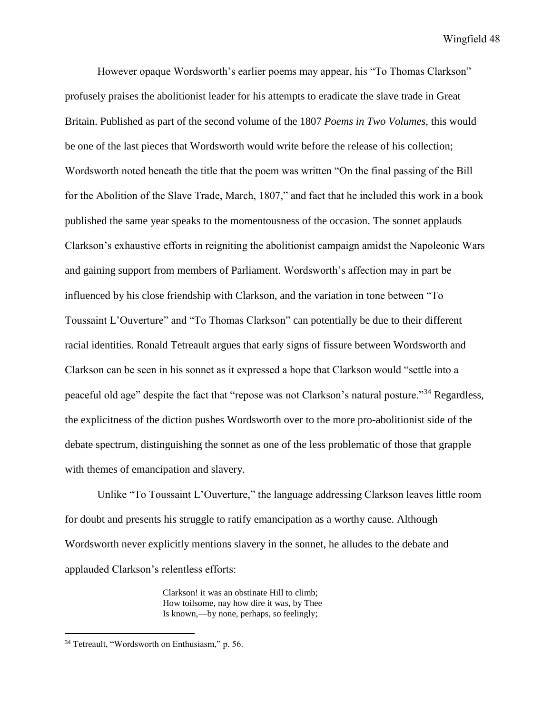However opaque Wordsworth's earlier poems may appear, his "To Thomas Clarkson" profusely praises the abolitionist leader for his attempts to eradicate the slave trade in Great Britain. Published as part of the second volume of the 1807 *Poems in Two Volumes,* this would be one of the last pieces that Wordsworth would write before the release of his collection; Wordsworth noted beneath the title that the poem was written "On the final passing of the Bill for the Abolition of the Slave Trade, March, 1807," and fact that he included this work in a book published the same year speaks to the momentousness of the occasion. The sonnet applauds Clarkson's exhaustive efforts in reigniting the abolitionist campaign amidst the Napoleonic Wars and gaining support from members of Parliament. Wordsworth's affection may in part be influenced by his close friendship with Clarkson, and the variation in tone between "To Toussaint L'Ouverture" and "To Thomas Clarkson" can potentially be due to their different racial identities. Ronald Tetreault argues that early signs of fissure between Wordsworth and Clarkson can be seen in his sonnet as it expressed a hope that Clarkson would "settle into a peaceful old age" despite the fact that "repose was not Clarkson's natural posture."<sup>34</sup> Regardless, the explicitness of the diction pushes Wordsworth over to the more pro-abolitionist side of the debate spectrum, distinguishing the sonnet as one of the less problematic of those that grapple with themes of emancipation and slavery.

Unlike "To Toussaint L'Ouverture," the language addressing Clarkson leaves little room for doubt and presents his struggle to ratify emancipation as a worthy cause. Although Wordsworth never explicitly mentions slavery in the sonnet, he alludes to the debate and applauded Clarkson's relentless efforts:

> Clarkson! it was an obstinate Hill to climb; How toilsome, nay how dire it was, by Thee Is known,—by none, perhaps, so feelingly;

<sup>34</sup> Tetreault, "Wordsworth on Enthusiasm," p. 56.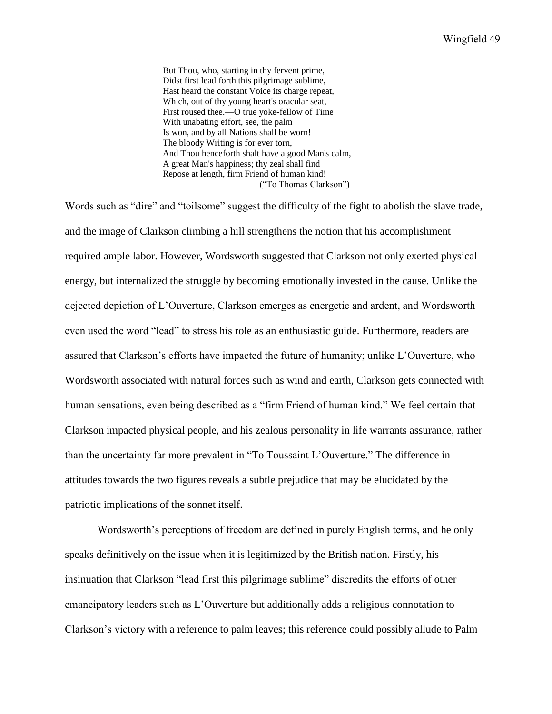But Thou, who, starting in thy fervent prime, Didst first lead forth this pilgrimage sublime, Hast heard the constant Voice its charge repeat, Which, out of thy young heart's oracular seat, First roused thee.—O true yoke-fellow of Time With unabating effort, see, the palm Is won, and by all Nations shall be worn! The bloody Writing is for ever torn, And Thou henceforth shalt have a good Man's calm, A great Man's happiness; thy zeal shall find Repose at length, firm Friend of human kind! ("To Thomas Clarkson")

Words such as "dire" and "toilsome" suggest the difficulty of the fight to abolish the slave trade, and the image of Clarkson climbing a hill strengthens the notion that his accomplishment required ample labor. However, Wordsworth suggested that Clarkson not only exerted physical energy, but internalized the struggle by becoming emotionally invested in the cause. Unlike the dejected depiction of L'Ouverture, Clarkson emerges as energetic and ardent, and Wordsworth even used the word "lead" to stress his role as an enthusiastic guide. Furthermore, readers are assured that Clarkson's efforts have impacted the future of humanity; unlike L'Ouverture, who Wordsworth associated with natural forces such as wind and earth, Clarkson gets connected with human sensations, even being described as a "firm Friend of human kind." We feel certain that Clarkson impacted physical people, and his zealous personality in life warrants assurance, rather than the uncertainty far more prevalent in "To Toussaint L'Ouverture." The difference in attitudes towards the two figures reveals a subtle prejudice that may be elucidated by the patriotic implications of the sonnet itself.

Wordsworth's perceptions of freedom are defined in purely English terms, and he only speaks definitively on the issue when it is legitimized by the British nation. Firstly, his insinuation that Clarkson "lead first this pilgrimage sublime" discredits the efforts of other emancipatory leaders such as L'Ouverture but additionally adds a religious connotation to Clarkson's victory with a reference to palm leaves; this reference could possibly allude to Palm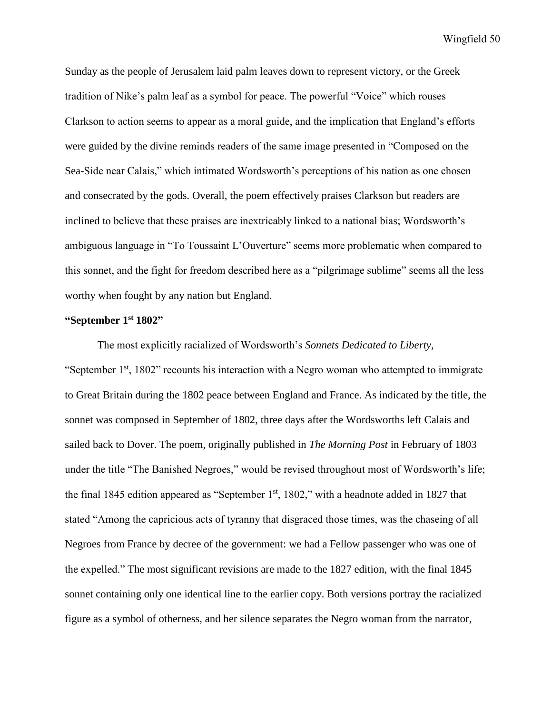Sunday as the people of Jerusalem laid palm leaves down to represent victory, or the Greek tradition of Nike's palm leaf as a symbol for peace. The powerful "Voice" which rouses Clarkson to action seems to appear as a moral guide, and the implication that England's efforts were guided by the divine reminds readers of the same image presented in "Composed on the Sea-Side near Calais," which intimated Wordsworth's perceptions of his nation as one chosen and consecrated by the gods. Overall, the poem effectively praises Clarkson but readers are inclined to believe that these praises are inextricably linked to a national bias; Wordsworth's ambiguous language in "To Toussaint L'Ouverture" seems more problematic when compared to this sonnet, and the fight for freedom described here as a "pilgrimage sublime" seems all the less worthy when fought by any nation but England.

#### **"September 1st 1802"**

The most explicitly racialized of Wordsworth's *Sonnets Dedicated to Liberty,*  "September 1st, 1802" recounts his interaction with a Negro woman who attempted to immigrate to Great Britain during the 1802 peace between England and France. As indicated by the title, the sonnet was composed in September of 1802, three days after the Wordsworths left Calais and sailed back to Dover. The poem, originally published in *The Morning Post* in February of 1803 under the title "The Banished Negroes," would be revised throughout most of Wordsworth's life; the final 1845 edition appeared as "September  $1<sup>st</sup>$ , 1802," with a headnote added in 1827 that stated "Among the capricious acts of tyranny that disgraced those times, was the chaseing of all Negroes from France by decree of the government: we had a Fellow passenger who was one of the expelled." The most significant revisions are made to the 1827 edition, with the final 1845 sonnet containing only one identical line to the earlier copy. Both versions portray the racialized figure as a symbol of otherness, and her silence separates the Negro woman from the narrator,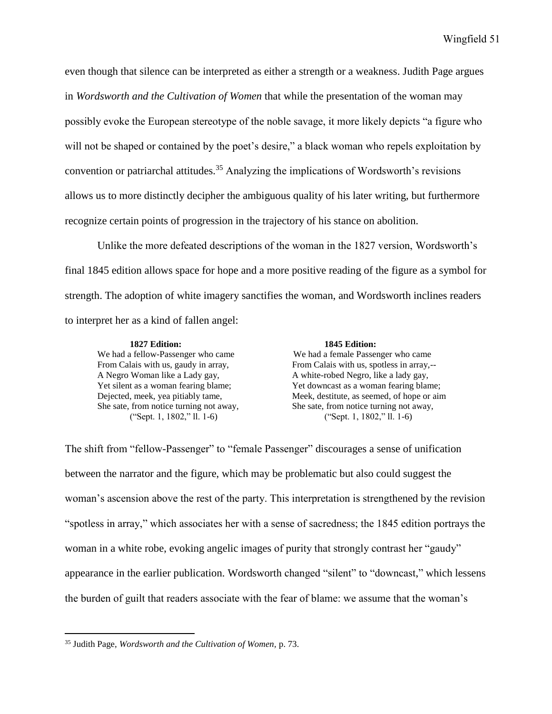even though that silence can be interpreted as either a strength or a weakness. Judith Page argues in *Wordsworth and the Cultivation of Women* that while the presentation of the woman may possibly evoke the European stereotype of the noble savage, it more likely depicts "a figure who will not be shaped or contained by the poet's desire," a black woman who repels exploitation by convention or patriarchal attitudes.<sup>35</sup> Analyzing the implications of Wordsworth's revisions allows us to more distinctly decipher the ambiguous quality of his later writing, but furthermore recognize certain points of progression in the trajectory of his stance on abolition.

Unlike the more defeated descriptions of the woman in the 1827 version, Wordsworth's final 1845 edition allows space for hope and a more positive reading of the figure as a symbol for strength. The adoption of white imagery sanctifies the woman, and Wordsworth inclines readers to interpret her as a kind of fallen angel:

#### **1827 Edition: 1845 Edition:** We had a fellow-Passenger who came We had a female Passenger who came From Calais with us, gaudy in array, From Calais with us, spotless in array,--A Negro Woman like a Lady gay,  $\overline{A}$  white-robed Negro, like a lady gay, Yet silent as a woman fearing blame; Yet downcast as a woman fearing blame; Dejected, meek, yea pitiably tame, Meek, destitute, as seemed, of hope or aim She sate, from notice turning not away, She sate, from notice turning not away, ("Sept. 1, 1802," ll. 1-6) ("Sept. 1, 1802," ll. 1-6)

The shift from "fellow-Passenger" to "female Passenger" discourages a sense of unification between the narrator and the figure, which may be problematic but also could suggest the woman's ascension above the rest of the party. This interpretation is strengthened by the revision "spotless in array," which associates her with a sense of sacredness; the 1845 edition portrays the woman in a white robe, evoking angelic images of purity that strongly contrast her "gaudy" appearance in the earlier publication. Wordsworth changed "silent" to "downcast," which lessens the burden of guilt that readers associate with the fear of blame: we assume that the woman's

<sup>35</sup> Judith Page, *Wordsworth and the Cultivation of Women,* p. 73.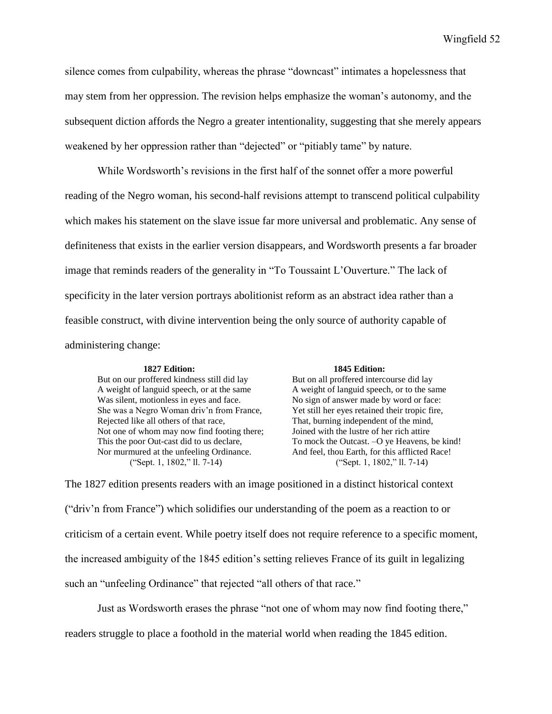silence comes from culpability, whereas the phrase "downcast" intimates a hopelessness that may stem from her oppression. The revision helps emphasize the woman's autonomy, and the subsequent diction affords the Negro a greater intentionality, suggesting that she merely appears weakened by her oppression rather than "dejected" or "pitiably tame" by nature.

While Wordsworth's revisions in the first half of the sonnet offer a more powerful reading of the Negro woman, his second-half revisions attempt to transcend political culpability which makes his statement on the slave issue far more universal and problematic. Any sense of definiteness that exists in the earlier version disappears, and Wordsworth presents a far broader image that reminds readers of the generality in "To Toussaint L'Ouverture." The lack of specificity in the later version portrays abolitionist reform as an abstract idea rather than a feasible construct, with divine intervention being the only source of authority capable of administering change:

A weight of languid speech, or at the same A weight of languid speech, or to the same Was silent, motionless in eyes and face. No sign of answer made by word or face: She was a Negro Woman driv'n from France, Yet still her eyes retained their tropic fire, Rejected like all others of that race, That, burning independent of the mind, Not one of whom may now find footing there; Joined with the lustre of her rich attire Nor murmured at the unfeeling Ordinance. And feel, thou Earth, for this afflicted Race!

#### **1827 Edition: 1845 Edition:**

But on our proffered kindness still did lay But on all proffered intercourse did lay This the poor Out-cast did to us declare, To mock the Outcast. –O ye Heavens, be kind! ("Sept. 1, 1802," ll. 7-14) ("Sept. 1, 1802," ll. 7-14)

The 1827 edition presents readers with an image positioned in a distinct historical context ("driv'n from France") which solidifies our understanding of the poem as a reaction to or criticism of a certain event. While poetry itself does not require reference to a specific moment, the increased ambiguity of the 1845 edition's setting relieves France of its guilt in legalizing such an "unfeeling Ordinance" that rejected "all others of that race."

Just as Wordsworth erases the phrase "not one of whom may now find footing there,"

readers struggle to place a foothold in the material world when reading the 1845 edition.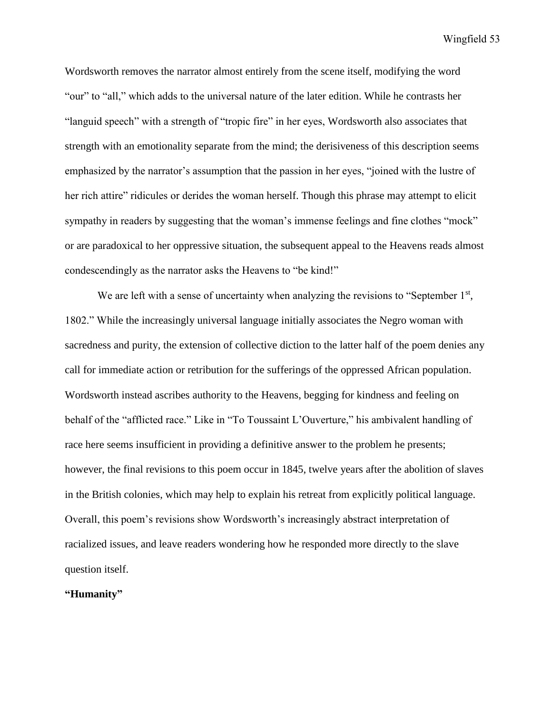Wordsworth removes the narrator almost entirely from the scene itself, modifying the word "our" to "all," which adds to the universal nature of the later edition. While he contrasts her "languid speech" with a strength of "tropic fire" in her eyes, Wordsworth also associates that strength with an emotionality separate from the mind; the derisiveness of this description seems emphasized by the narrator's assumption that the passion in her eyes, "joined with the lustre of her rich attire" ridicules or derides the woman herself. Though this phrase may attempt to elicit sympathy in readers by suggesting that the woman's immense feelings and fine clothes "mock" or are paradoxical to her oppressive situation, the subsequent appeal to the Heavens reads almost condescendingly as the narrator asks the Heavens to "be kind!"

We are left with a sense of uncertainty when analyzing the revisions to "September  $1<sup>st</sup>$ , 1802." While the increasingly universal language initially associates the Negro woman with sacredness and purity, the extension of collective diction to the latter half of the poem denies any call for immediate action or retribution for the sufferings of the oppressed African population. Wordsworth instead ascribes authority to the Heavens, begging for kindness and feeling on behalf of the "afflicted race." Like in "To Toussaint L'Ouverture," his ambivalent handling of race here seems insufficient in providing a definitive answer to the problem he presents; however, the final revisions to this poem occur in 1845, twelve years after the abolition of slaves in the British colonies, which may help to explain his retreat from explicitly political language. Overall, this poem's revisions show Wordsworth's increasingly abstract interpretation of racialized issues, and leave readers wondering how he responded more directly to the slave question itself.

## **"Humanity"**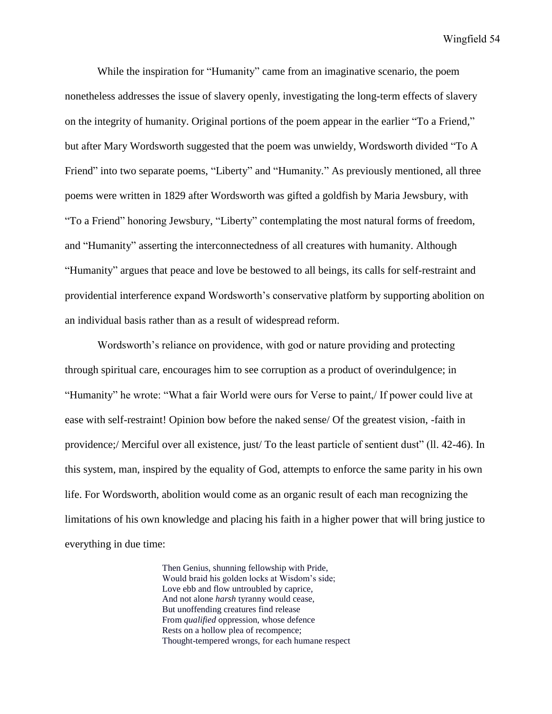While the inspiration for "Humanity" came from an imaginative scenario, the poem nonetheless addresses the issue of slavery openly, investigating the long-term effects of slavery on the integrity of humanity. Original portions of the poem appear in the earlier "To a Friend*,*" but after Mary Wordsworth suggested that the poem was unwieldy, Wordsworth divided "To A Friend" into two separate poems, "Liberty" and "Humanity*.*" As previously mentioned, all three poems were written in 1829 after Wordsworth was gifted a goldfish by Maria Jewsbury, with "To a Friend" honoring Jewsbury, "Liberty" contemplating the most natural forms of freedom, and "Humanity" asserting the interconnectedness of all creatures with humanity. Although "Humanity" argues that peace and love be bestowed to all beings, its calls for self-restraint and providential interference expand Wordsworth's conservative platform by supporting abolition on an individual basis rather than as a result of widespread reform.

Wordsworth's reliance on providence, with god or nature providing and protecting through spiritual care, encourages him to see corruption as a product of overindulgence; in "Humanity" he wrote: "What a fair World were ours for Verse to paint,/ If power could live at ease with self-restraint! Opinion bow before the naked sense/ Of the greatest vision, -faith in providence;/ Merciful over all existence, just/ To the least particle of sentient dust" (ll. 42-46). In this system, man, inspired by the equality of God, attempts to enforce the same parity in his own life. For Wordsworth, abolition would come as an organic result of each man recognizing the limitations of his own knowledge and placing his faith in a higher power that will bring justice to everything in due time:

> Then Genius, shunning fellowship with Pride, Would braid his golden locks at Wisdom's side; Love ebb and flow untroubled by caprice, And not alone *harsh* tyranny would cease, But unoffending creatures find release From *qualified* oppression, whose defence Rests on a hollow plea of recompence; Thought-tempered wrongs, for each humane respect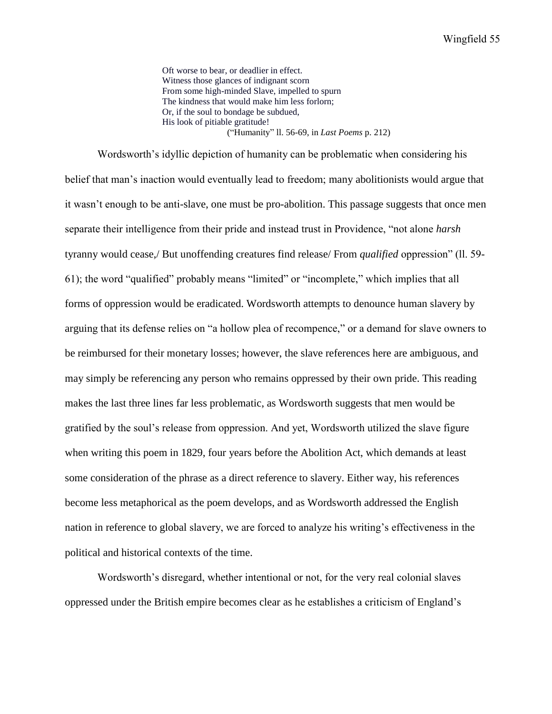Oft worse to bear, or deadlier in effect. Witness those glances of indignant scorn From some high-minded Slave, impelled to spurn The kindness that would make him less forlorn; Or, if the soul to bondage be subdued, His look of pitiable gratitude! ("Humanity" ll. 56-69, in *Last Poems* p. 212)

Wordsworth's idyllic depiction of humanity can be problematic when considering his belief that man's inaction would eventually lead to freedom; many abolitionists would argue that it wasn't enough to be anti-slave, one must be pro-abolition. This passage suggests that once men separate their intelligence from their pride and instead trust in Providence, "not alone *harsh*  tyranny would cease,/ But unoffending creatures find release/ From *qualified* oppression" (ll. 59- 61); the word "qualified" probably means "limited" or "incomplete," which implies that all forms of oppression would be eradicated. Wordsworth attempts to denounce human slavery by arguing that its defense relies on "a hollow plea of recompence," or a demand for slave owners to be reimbursed for their monetary losses; however, the slave references here are ambiguous, and may simply be referencing any person who remains oppressed by their own pride. This reading makes the last three lines far less problematic, as Wordsworth suggests that men would be gratified by the soul's release from oppression. And yet, Wordsworth utilized the slave figure when writing this poem in 1829, four years before the Abolition Act, which demands at least some consideration of the phrase as a direct reference to slavery. Either way, his references become less metaphorical as the poem develops, and as Wordsworth addressed the English nation in reference to global slavery, we are forced to analyze his writing's effectiveness in the political and historical contexts of the time.

Wordsworth's disregard, whether intentional or not, for the very real colonial slaves oppressed under the British empire becomes clear as he establishes a criticism of England's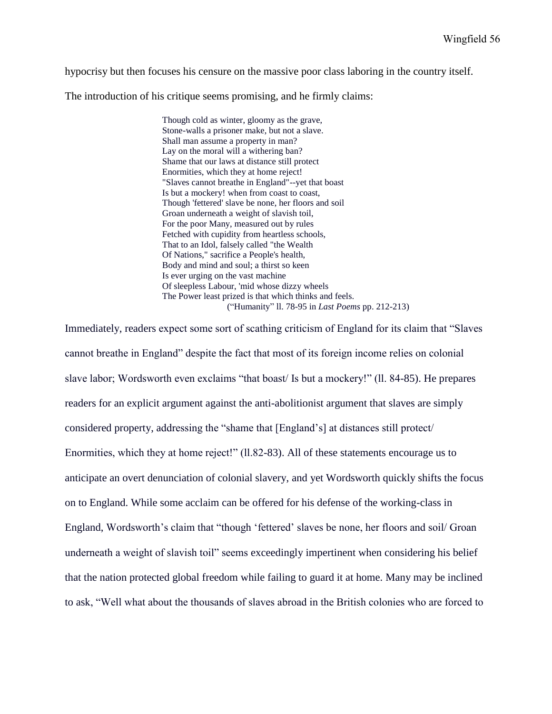hypocrisy but then focuses his censure on the massive poor class laboring in the country itself.

The introduction of his critique seems promising, and he firmly claims:

Though cold as winter, gloomy as the grave, Stone-walls a prisoner make, but not a slave. Shall man assume a property in man? Lay on the moral will a withering ban? Shame that our laws at distance still protect Enormities, which they at home reject! "Slaves cannot breathe in England"--yet that boast Is but a mockery! when from coast to coast, Though 'fettered' slave be none, her floors and soil Groan underneath a weight of slavish toil, For the poor Many, measured out by rules Fetched with cupidity from heartless schools, That to an Idol, falsely called "the Wealth Of Nations," sacrifice a People's health, Body and mind and soul; a thirst so keen Is ever urging on the vast machine Of sleepless Labour, 'mid whose dizzy wheels The Power least prized is that which thinks and feels. ("Humanity" ll. 78-95 in *Last Poems* pp. 212-213)

Immediately, readers expect some sort of scathing criticism of England for its claim that "Slaves cannot breathe in England" despite the fact that most of its foreign income relies on colonial slave labor; Wordsworth even exclaims "that boast/ Is but a mockery!" (ll. 84-85). He prepares readers for an explicit argument against the anti-abolitionist argument that slaves are simply considered property, addressing the "shame that [England's] at distances still protect/ Enormities, which they at home reject!" (ll.82-83). All of these statements encourage us to anticipate an overt denunciation of colonial slavery, and yet Wordsworth quickly shifts the focus on to England. While some acclaim can be offered for his defense of the working-class in England, Wordsworth's claim that "though 'fettered' slaves be none, her floors and soil/ Groan underneath a weight of slavish toil" seems exceedingly impertinent when considering his belief that the nation protected global freedom while failing to guard it at home. Many may be inclined to ask, "Well what about the thousands of slaves abroad in the British colonies who are forced to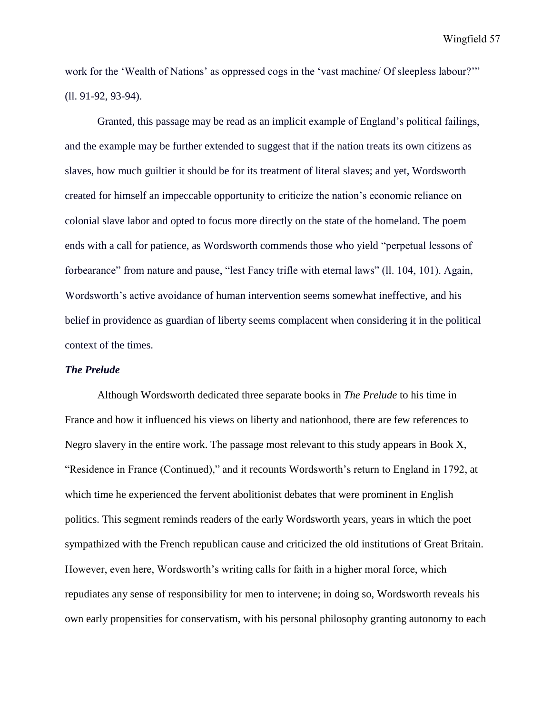work for the 'Wealth of Nations' as oppressed cogs in the 'vast machine/ Of sleepless labour?'" (ll. 91-92, 93-94).

Granted, this passage may be read as an implicit example of England's political failings, and the example may be further extended to suggest that if the nation treats its own citizens as slaves, how much guiltier it should be for its treatment of literal slaves; and yet, Wordsworth created for himself an impeccable opportunity to criticize the nation's economic reliance on colonial slave labor and opted to focus more directly on the state of the homeland. The poem ends with a call for patience, as Wordsworth commends those who yield "perpetual lessons of forbearance" from nature and pause, "lest Fancy trifle with eternal laws" (ll. 104, 101). Again, Wordsworth's active avoidance of human intervention seems somewhat ineffective, and his belief in providence as guardian of liberty seems complacent when considering it in the political context of the times.

## *The Prelude*

Although Wordsworth dedicated three separate books in *The Prelude* to his time in France and how it influenced his views on liberty and nationhood, there are few references to Negro slavery in the entire work. The passage most relevant to this study appears in Book X, "Residence in France (Continued)," and it recounts Wordsworth's return to England in 1792, at which time he experienced the fervent abolitionist debates that were prominent in English politics. This segment reminds readers of the early Wordsworth years, years in which the poet sympathized with the French republican cause and criticized the old institutions of Great Britain. However, even here, Wordsworth's writing calls for faith in a higher moral force, which repudiates any sense of responsibility for men to intervene; in doing so, Wordsworth reveals his own early propensities for conservatism, with his personal philosophy granting autonomy to each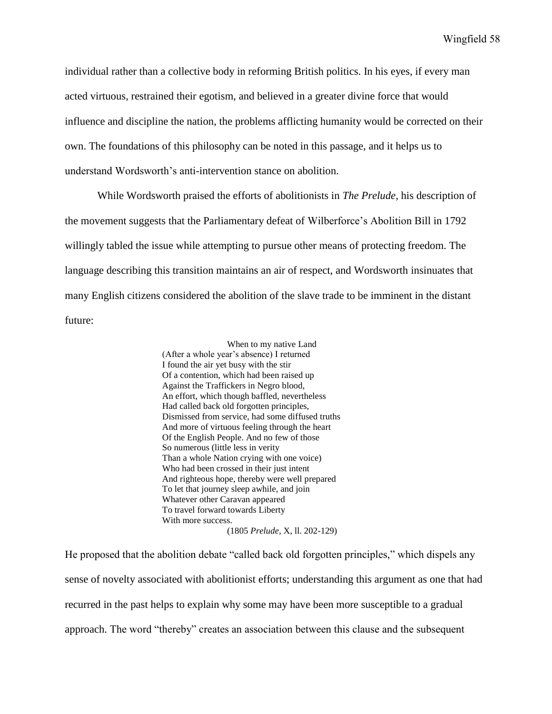individual rather than a collective body in reforming British politics. In his eyes, if every man acted virtuous, restrained their egotism, and believed in a greater divine force that would influence and discipline the nation, the problems afflicting humanity would be corrected on their own. The foundations of this philosophy can be noted in this passage, and it helps us to understand Wordsworth's anti-intervention stance on abolition.

While Wordsworth praised the efforts of abolitionists in *The Prelude,* his description of the movement suggests that the Parliamentary defeat of Wilberforce's Abolition Bill in 1792 willingly tabled the issue while attempting to pursue other means of protecting freedom. The language describing this transition maintains an air of respect, and Wordsworth insinuates that many English citizens considered the abolition of the slave trade to be imminent in the distant future:

> When to my native Land (After a whole year's absence) I returned I found the air yet busy with the stir Of a contention, which had been raised up Against the Traffickers in Negro blood, An effort, which though baffled, nevertheless Had called back old forgotten principles, Dismissed from service, had some diffused truths And more of virtuous feeling through the heart Of the English People. And no few of those So numerous (little less in verity Than a whole Nation crying with one voice) Who had been crossed in their just intent And righteous hope, thereby were well prepared To let that journey sleep awhile, and join Whatever other Caravan appeared To travel forward towards Liberty With more success. (1805 *Prelude*, X, ll. 202-129)

He proposed that the abolition debate "called back old forgotten principles," which dispels any sense of novelty associated with abolitionist efforts; understanding this argument as one that had recurred in the past helps to explain why some may have been more susceptible to a gradual approach. The word "thereby" creates an association between this clause and the subsequent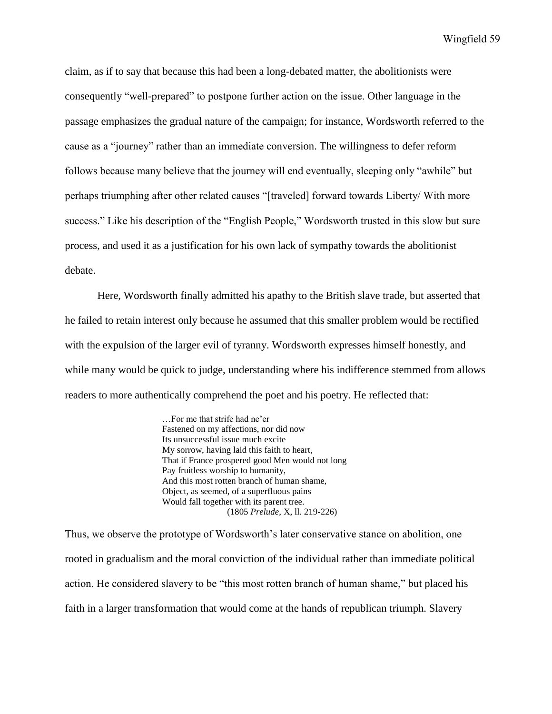claim, as if to say that because this had been a long-debated matter, the abolitionists were consequently "well-prepared" to postpone further action on the issue. Other language in the passage emphasizes the gradual nature of the campaign; for instance, Wordsworth referred to the cause as a "journey" rather than an immediate conversion. The willingness to defer reform follows because many believe that the journey will end eventually, sleeping only "awhile" but perhaps triumphing after other related causes "[traveled] forward towards Liberty/ With more success." Like his description of the "English People," Wordsworth trusted in this slow but sure process, and used it as a justification for his own lack of sympathy towards the abolitionist debate.

Here, Wordsworth finally admitted his apathy to the British slave trade, but asserted that he failed to retain interest only because he assumed that this smaller problem would be rectified with the expulsion of the larger evil of tyranny. Wordsworth expresses himself honestly, and while many would be quick to judge, understanding where his indifference stemmed from allows readers to more authentically comprehend the poet and his poetry. He reflected that:

> …For me that strife had ne'er Fastened on my affections, nor did now Its unsuccessful issue much excite My sorrow, having laid this faith to heart, That if France prospered good Men would not long Pay fruitless worship to humanity, And this most rotten branch of human shame, Object, as seemed, of a superfluous pains Would fall together with its parent tree. (1805 *Prelude*, X, ll. 219-226)

Thus, we observe the prototype of Wordsworth's later conservative stance on abolition, one rooted in gradualism and the moral conviction of the individual rather than immediate political action. He considered slavery to be "this most rotten branch of human shame," but placed his faith in a larger transformation that would come at the hands of republican triumph. Slavery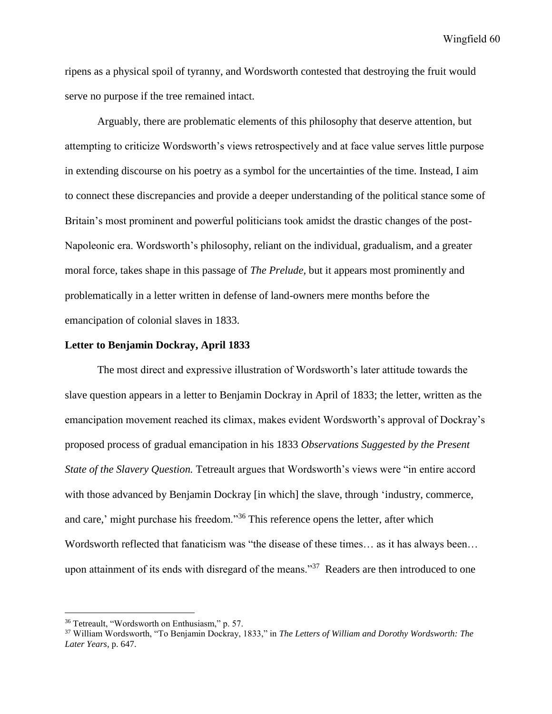ripens as a physical spoil of tyranny, and Wordsworth contested that destroying the fruit would serve no purpose if the tree remained intact.

Arguably, there are problematic elements of this philosophy that deserve attention, but attempting to criticize Wordsworth's views retrospectively and at face value serves little purpose in extending discourse on his poetry as a symbol for the uncertainties of the time. Instead, I aim to connect these discrepancies and provide a deeper understanding of the political stance some of Britain's most prominent and powerful politicians took amidst the drastic changes of the post-Napoleonic era. Wordsworth's philosophy, reliant on the individual, gradualism, and a greater moral force, takes shape in this passage of *The Prelude,* but it appears most prominently and problematically in a letter written in defense of land-owners mere months before the emancipation of colonial slaves in 1833.

## **Letter to Benjamin Dockray, April 1833**

The most direct and expressive illustration of Wordsworth's later attitude towards the slave question appears in a letter to Benjamin Dockray in April of 1833; the letter, written as the emancipation movement reached its climax, makes evident Wordsworth's approval of Dockray's proposed process of gradual emancipation in his 1833 *Observations Suggested by the Present State of the Slavery Question.* Tetreault argues that Wordsworth's views were "in entire accord with those advanced by Benjamin Dockray [in which] the slave, through 'industry, commerce, and care,' might purchase his freedom."<sup>36</sup> This reference opens the letter, after which Wordsworth reflected that fanaticism was "the disease of these times… as it has always been… upon attainment of its ends with disregard of the means."<sup>37</sup> Readers are then introduced to one

<sup>36</sup> Tetreault, "Wordsworth on Enthusiasm," p. 57.

<sup>37</sup> William Wordsworth, "To Benjamin Dockray, 1833," in *The Letters of William and Dorothy Wordsworth: The Later Years,* p. 647.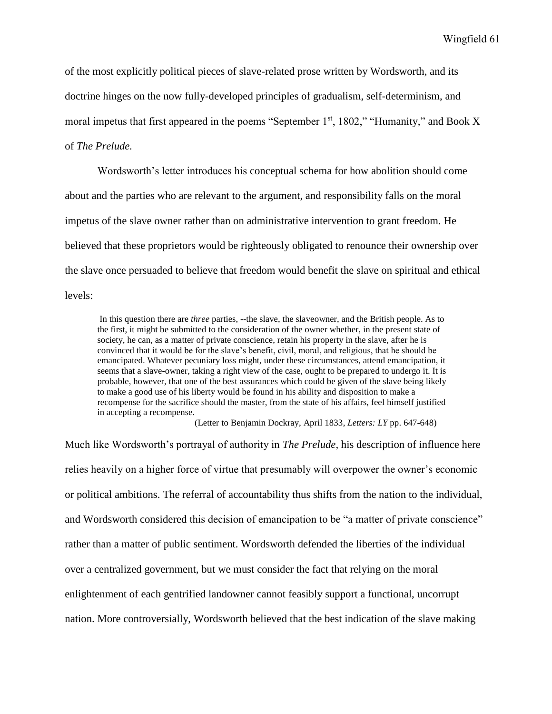of the most explicitly political pieces of slave-related prose written by Wordsworth, and its doctrine hinges on the now fully-developed principles of gradualism, self-determinism, and moral impetus that first appeared in the poems "September  $1<sup>st</sup>$ , 1802," "Humanity," and Book X of *The Prelude.* 

Wordsworth's letter introduces his conceptual schema for how abolition should come about and the parties who are relevant to the argument, and responsibility falls on the moral impetus of the slave owner rather than on administrative intervention to grant freedom. He believed that these proprietors would be righteously obligated to renounce their ownership over the slave once persuaded to believe that freedom would benefit the slave on spiritual and ethical levels:

In this question there are *three* parties, --the slave, the slaveowner, and the British people. As to the first, it might be submitted to the consideration of the owner whether, in the present state of society, he can, as a matter of private conscience, retain his property in the slave, after he is convinced that it would be for the slave's benefit, civil, moral, and religious, that he should be emancipated. Whatever pecuniary loss might, under these circumstances, attend emancipation, it seems that a slave-owner, taking a right view of the case, ought to be prepared to undergo it. It is probable, however, that one of the best assurances which could be given of the slave being likely to make a good use of his liberty would be found in his ability and disposition to make a recompense for the sacrifice should the master, from the state of his affairs, feel himself justified in accepting a recompense.

(Letter to Benjamin Dockray, April 1833, *Letters: LY* pp. 647-648)

Much like Wordsworth's portrayal of authority in *The Prelude,* his description of influence here relies heavily on a higher force of virtue that presumably will overpower the owner's economic or political ambitions. The referral of accountability thus shifts from the nation to the individual, and Wordsworth considered this decision of emancipation to be "a matter of private conscience" rather than a matter of public sentiment. Wordsworth defended the liberties of the individual over a centralized government, but we must consider the fact that relying on the moral enlightenment of each gentrified landowner cannot feasibly support a functional, uncorrupt nation. More controversially, Wordsworth believed that the best indication of the slave making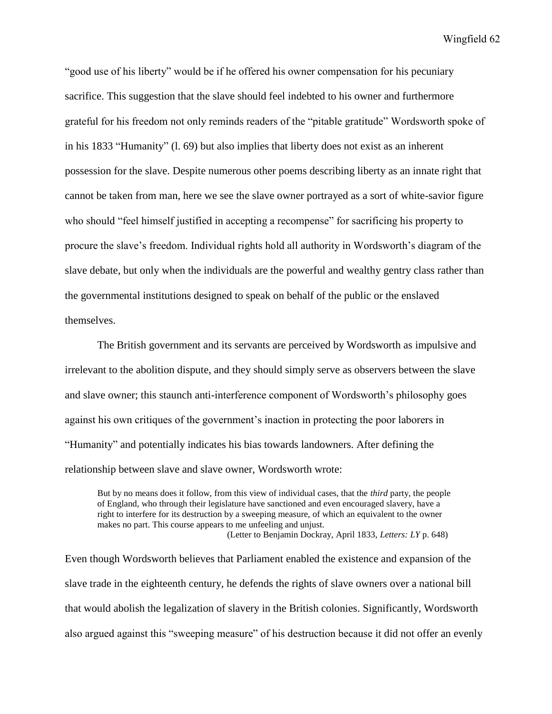"good use of his liberty" would be if he offered his owner compensation for his pecuniary sacrifice. This suggestion that the slave should feel indebted to his owner and furthermore grateful for his freedom not only reminds readers of the "pitable gratitude" Wordsworth spoke of in his 1833 "Humanity" (l. 69) but also implies that liberty does not exist as an inherent possession for the slave. Despite numerous other poems describing liberty as an innate right that cannot be taken from man, here we see the slave owner portrayed as a sort of white-savior figure who should "feel himself justified in accepting a recompense" for sacrificing his property to procure the slave's freedom. Individual rights hold all authority in Wordsworth's diagram of the slave debate, but only when the individuals are the powerful and wealthy gentry class rather than the governmental institutions designed to speak on behalf of the public or the enslaved themselves.

The British government and its servants are perceived by Wordsworth as impulsive and irrelevant to the abolition dispute, and they should simply serve as observers between the slave and slave owner; this staunch anti-interference component of Wordsworth's philosophy goes against his own critiques of the government's inaction in protecting the poor laborers in "Humanity" and potentially indicates his bias towards landowners. After defining the relationship between slave and slave owner, Wordsworth wrote:

But by no means does it follow, from this view of individual cases, that the *third* party, the people of England, who through their legislature have sanctioned and even encouraged slavery, have a right to interfere for its destruction by a sweeping measure, of which an equivalent to the owner makes no part. This course appears to me unfeeling and unjust. (Letter to Benjamin Dockray, April 1833, *Letters: LY* p. 648)

Even though Wordsworth believes that Parliament enabled the existence and expansion of the slave trade in the eighteenth century, he defends the rights of slave owners over a national bill that would abolish the legalization of slavery in the British colonies. Significantly, Wordsworth also argued against this "sweeping measure" of his destruction because it did not offer an evenly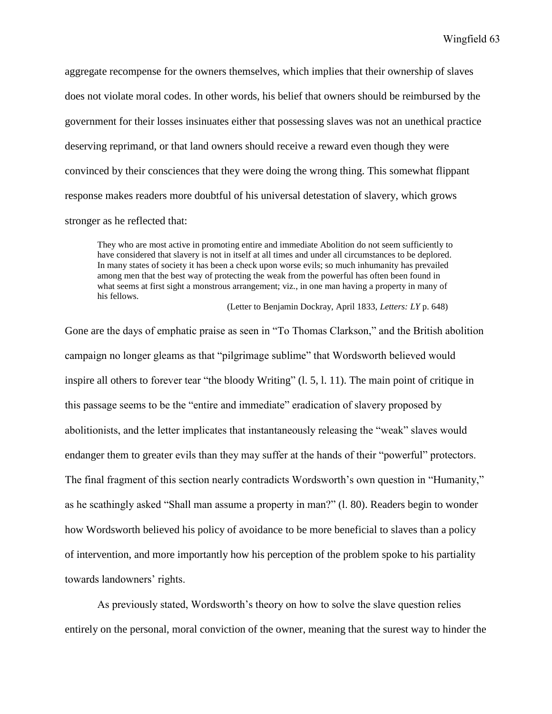aggregate recompense for the owners themselves, which implies that their ownership of slaves does not violate moral codes. In other words, his belief that owners should be reimbursed by the government for their losses insinuates either that possessing slaves was not an unethical practice deserving reprimand, or that land owners should receive a reward even though they were convinced by their consciences that they were doing the wrong thing. This somewhat flippant response makes readers more doubtful of his universal detestation of slavery, which grows stronger as he reflected that:

They who are most active in promoting entire and immediate Abolition do not seem sufficiently to have considered that slavery is not in itself at all times and under all circumstances to be deplored. In many states of society it has been a check upon worse evils; so much inhumanity has prevailed among men that the best way of protecting the weak from the powerful has often been found in what seems at first sight a monstrous arrangement; viz., in one man having a property in many of his fellows.

(Letter to Benjamin Dockray, April 1833, *Letters: LY* p. 648)

Gone are the days of emphatic praise as seen in "To Thomas Clarkson," and the British abolition campaign no longer gleams as that "pilgrimage sublime" that Wordsworth believed would inspire all others to forever tear "the bloody Writing" (l. 5, l. 11). The main point of critique in this passage seems to be the "entire and immediate" eradication of slavery proposed by abolitionists, and the letter implicates that instantaneously releasing the "weak" slaves would endanger them to greater evils than they may suffer at the hands of their "powerful" protectors. The final fragment of this section nearly contradicts Wordsworth's own question in "Humanity," as he scathingly asked "Shall man assume a property in man?" (l. 80). Readers begin to wonder how Wordsworth believed his policy of avoidance to be more beneficial to slaves than a policy of intervention, and more importantly how his perception of the problem spoke to his partiality towards landowners' rights.

As previously stated, Wordsworth's theory on how to solve the slave question relies entirely on the personal, moral conviction of the owner, meaning that the surest way to hinder the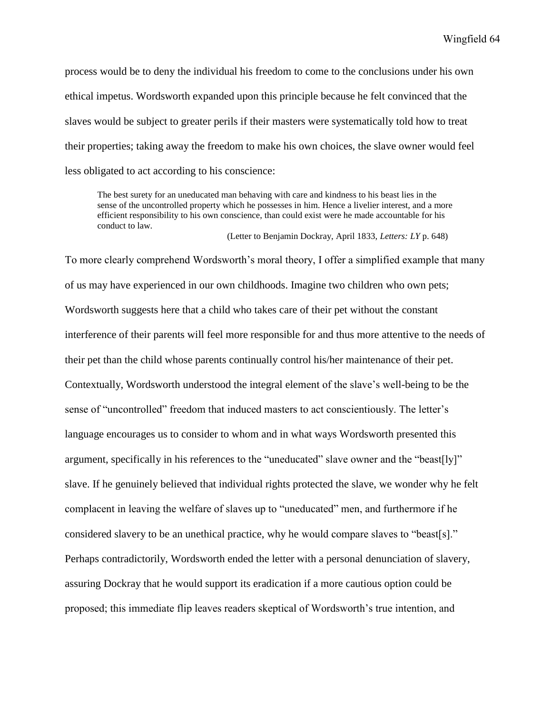process would be to deny the individual his freedom to come to the conclusions under his own ethical impetus. Wordsworth expanded upon this principle because he felt convinced that the slaves would be subject to greater perils if their masters were systematically told how to treat their properties; taking away the freedom to make his own choices, the slave owner would feel less obligated to act according to his conscience:

The best surety for an uneducated man behaving with care and kindness to his beast lies in the sense of the uncontrolled property which he possesses in him. Hence a livelier interest, and a more efficient responsibility to his own conscience, than could exist were he made accountable for his conduct to law.

(Letter to Benjamin Dockray, April 1833, *Letters: LY* p. 648)

To more clearly comprehend Wordsworth's moral theory, I offer a simplified example that many of us may have experienced in our own childhoods. Imagine two children who own pets; Wordsworth suggests here that a child who takes care of their pet without the constant interference of their parents will feel more responsible for and thus more attentive to the needs of their pet than the child whose parents continually control his/her maintenance of their pet. Contextually, Wordsworth understood the integral element of the slave's well-being to be the sense of "uncontrolled" freedom that induced masters to act conscientiously. The letter's language encourages us to consider to whom and in what ways Wordsworth presented this argument, specifically in his references to the "uneducated" slave owner and the "beast[ly]" slave. If he genuinely believed that individual rights protected the slave, we wonder why he felt complacent in leaving the welfare of slaves up to "uneducated" men, and furthermore if he considered slavery to be an unethical practice, why he would compare slaves to "beast[s]." Perhaps contradictorily, Wordsworth ended the letter with a personal denunciation of slavery, assuring Dockray that he would support its eradication if a more cautious option could be proposed; this immediate flip leaves readers skeptical of Wordsworth's true intention, and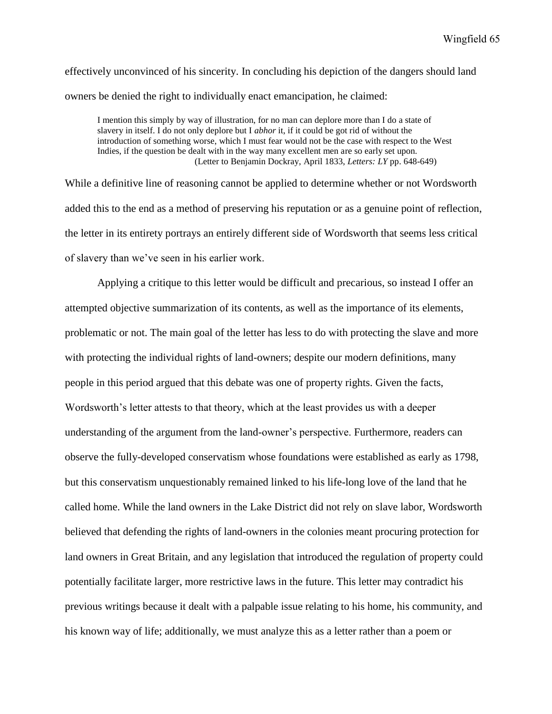effectively unconvinced of his sincerity. In concluding his depiction of the dangers should land owners be denied the right to individually enact emancipation, he claimed:

I mention this simply by way of illustration, for no man can deplore more than I do a state of slavery in itself. I do not only deplore but I *abhor* it, if it could be got rid of without the introduction of something worse, which I must fear would not be the case with respect to the West Indies, if the question be dealt with in the way many excellent men are so early set upon. (Letter to Benjamin Dockray, April 1833, *Letters: LY* pp. 648-649)

While a definitive line of reasoning cannot be applied to determine whether or not Wordsworth added this to the end as a method of preserving his reputation or as a genuine point of reflection, the letter in its entirety portrays an entirely different side of Wordsworth that seems less critical of slavery than we've seen in his earlier work.

Applying a critique to this letter would be difficult and precarious, so instead I offer an attempted objective summarization of its contents, as well as the importance of its elements, problematic or not. The main goal of the letter has less to do with protecting the slave and more with protecting the individual rights of land-owners; despite our modern definitions, many people in this period argued that this debate was one of property rights. Given the facts, Wordsworth's letter attests to that theory, which at the least provides us with a deeper understanding of the argument from the land-owner's perspective. Furthermore, readers can observe the fully-developed conservatism whose foundations were established as early as 1798, but this conservatism unquestionably remained linked to his life-long love of the land that he called home. While the land owners in the Lake District did not rely on slave labor, Wordsworth believed that defending the rights of land-owners in the colonies meant procuring protection for land owners in Great Britain, and any legislation that introduced the regulation of property could potentially facilitate larger, more restrictive laws in the future. This letter may contradict his previous writings because it dealt with a palpable issue relating to his home, his community, and his known way of life; additionally, we must analyze this as a letter rather than a poem or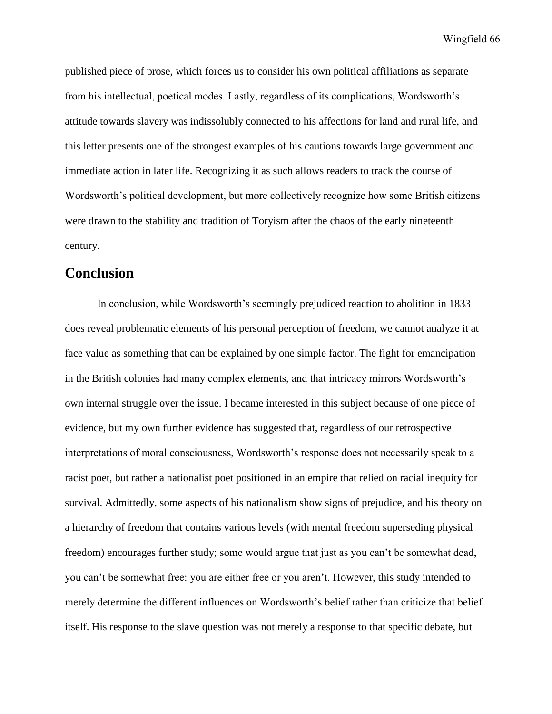published piece of prose, which forces us to consider his own political affiliations as separate from his intellectual, poetical modes. Lastly, regardless of its complications, Wordsworth's attitude towards slavery was indissolubly connected to his affections for land and rural life, and this letter presents one of the strongest examples of his cautions towards large government and immediate action in later life. Recognizing it as such allows readers to track the course of Wordsworth's political development, but more collectively recognize how some British citizens were drawn to the stability and tradition of Toryism after the chaos of the early nineteenth century.

## **Conclusion**

In conclusion, while Wordsworth's seemingly prejudiced reaction to abolition in 1833 does reveal problematic elements of his personal perception of freedom, we cannot analyze it at face value as something that can be explained by one simple factor. The fight for emancipation in the British colonies had many complex elements, and that intricacy mirrors Wordsworth's own internal struggle over the issue. I became interested in this subject because of one piece of evidence, but my own further evidence has suggested that, regardless of our retrospective interpretations of moral consciousness, Wordsworth's response does not necessarily speak to a racist poet, but rather a nationalist poet positioned in an empire that relied on racial inequity for survival. Admittedly, some aspects of his nationalism show signs of prejudice, and his theory on a hierarchy of freedom that contains various levels (with mental freedom superseding physical freedom) encourages further study; some would argue that just as you can't be somewhat dead, you can't be somewhat free: you are either free or you aren't. However, this study intended to merely determine the different influences on Wordsworth's belief rather than criticize that belief itself. His response to the slave question was not merely a response to that specific debate, but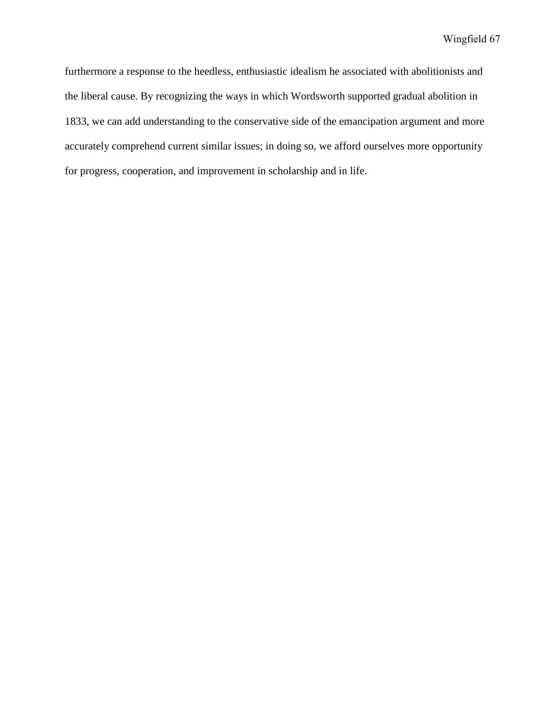furthermore a response to the heedless, enthusiastic idealism he associated with abolitionists and the liberal cause. By recognizing the ways in which Wordsworth supported gradual abolition in 1833, we can add understanding to the conservative side of the emancipation argument and more accurately comprehend current similar issues; in doing so, we afford ourselves more opportunity for progress, cooperation, and improvement in scholarship and in life.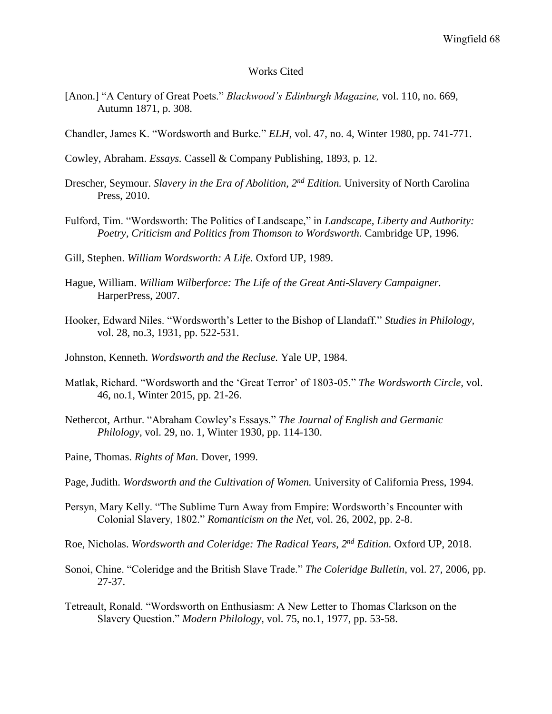## Works Cited

- [Anon.] "A Century of Great Poets." *Blackwood's Edinburgh Magazine,* vol. 110, no. 669, Autumn 1871, p. 308.
- Chandler, James K. "Wordsworth and Burke." *ELH,* vol. 47, no. 4, Winter 1980, pp. 741-771.
- Cowley, Abraham. *Essays.* Cassell & Company Publishing, 1893, p. 12.
- Drescher, Seymour. *Slavery in the Era of Abolition, 2nd Edition.* University of North Carolina Press, 2010.
- Fulford, Tim. "Wordsworth: The Politics of Landscape," in *Landscape, Liberty and Authority: Poetry, Criticism and Politics from Thomson to Wordsworth.* Cambridge UP, 1996.

Gill, Stephen. *William Wordsworth: A Life.* Oxford UP, 1989.

- Hague, William. *William Wilberforce: The Life of the Great Anti-Slavery Campaigner.*  HarperPress, 2007.
- Hooker, Edward Niles. "Wordsworth's Letter to the Bishop of Llandaff." *Studies in Philology,*  vol. 28, no.3, 1931, pp. 522-531.
- Johnston, Kenneth. *Wordsworth and the Recluse.* Yale UP, 1984.
- Matlak, Richard. "Wordsworth and the 'Great Terror' of 1803-05." *The Wordsworth Circle,* vol. 46, no.1, Winter 2015, pp. 21-26.
- Nethercot, Arthur. "Abraham Cowley's Essays." *The Journal of English and Germanic Philology,* vol. 29, no. 1, Winter 1930, pp. 114-130.
- Paine, Thomas. *Rights of Man.* Dover, 1999.
- Page, Judith. *Wordsworth and the Cultivation of Women.* University of California Press, 1994.
- Persyn, Mary Kelly. "The Sublime Turn Away from Empire: Wordsworth's Encounter with Colonial Slavery, 1802." *Romanticism on the Net,* vol. 26, 2002, pp. 2-8.
- Roe, Nicholas. *Wordsworth and Coleridge: The Radical Years, 2nd Edition.* Oxford UP, 2018.
- Sonoi, Chine. "Coleridge and the British Slave Trade." *The Coleridge Bulletin,* vol. 27, 2006, pp. 27-37.
- Tetreault, Ronald. "Wordsworth on Enthusiasm: A New Letter to Thomas Clarkson on the Slavery Question." *Modern Philology,* vol. 75, no.1, 1977, pp. 53-58.